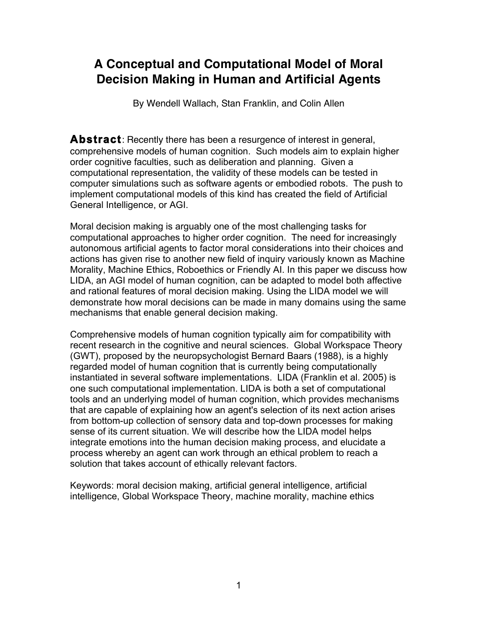# **A Conceptual and Computational Model of Moral Decision Making in Human and Artificial Agents**

By Wendell Wallach, Stan Franklin, and Colin Allen

**Abstract**: Recently there has been a resurgence of interest in general, comprehensive models of human cognition. Such models aim to explain higher order cognitive faculties, such as deliberation and planning. Given a computational representation, the validity of these models can be tested in computer simulations such as software agents or embodied robots. The push to implement computational models of this kind has created the field of Artificial General Intelligence, or AGI.

Moral decision making is arguably one of the most challenging tasks for computational approaches to higher order cognition. The need for increasingly autonomous artificial agents to factor moral considerations into their choices and actions has given rise to another new field of inquiry variously known as Machine Morality, Machine Ethics, Roboethics or Friendly AI. In this paper we discuss how LIDA, an AGI model of human cognition, can be adapted to model both affective and rational features of moral decision making. Using the LIDA model we will demonstrate how moral decisions can be made in many domains using the same mechanisms that enable general decision making.

Comprehensive models of human cognition typically aim for compatibility with recent research in the cognitive and neural sciences. Global Workspace Theory (GWT), proposed by the neuropsychologist Bernard Baars (1988), is a highly regarded model of human cognition that is currently being computationally instantiated in several software implementations. LIDA (Franklin et al. 2005) is one such computational implementation. LIDA is both a set of computational tools and an underlying model of human cognition, which provides mechanisms that are capable of explaining how an agent's selection of its next action arises from bottom-up collection of sensory data and top-down processes for making sense of its current situation. We will describe how the LIDA model helps integrate emotions into the human decision making process, and elucidate a process whereby an agent can work through an ethical problem to reach a solution that takes account of ethically relevant factors.

Keywords: moral decision making, artificial general intelligence, artificial intelligence, Global Workspace Theory, machine morality, machine ethics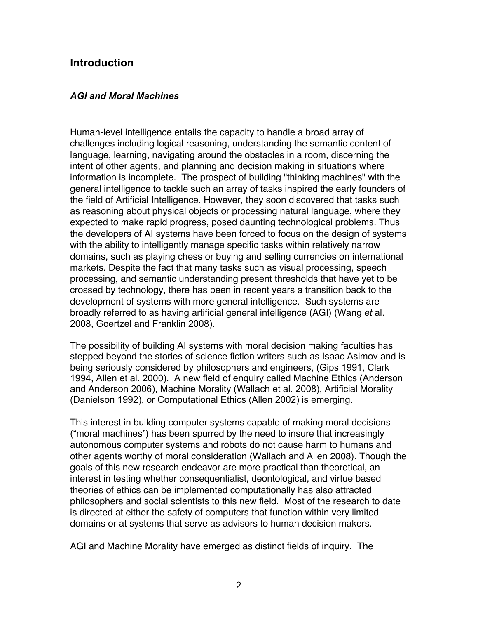# **Introduction**

#### *AGI and Moral Machines*

Human-level intelligence entails the capacity to handle a broad array of challenges including logical reasoning, understanding the semantic content of language, learning, navigating around the obstacles in a room, discerning the intent of other agents, and planning and decision making in situations where information is incomplete. The prospect of building "thinking machines" with the general intelligence to tackle such an array of tasks inspired the early founders of the field of Artificial Intelligence. However, they soon discovered that tasks such as reasoning about physical objects or processing natural language, where they expected to make rapid progress, posed daunting technological problems. Thus the developers of AI systems have been forced to focus on the design of systems with the ability to intelligently manage specific tasks within relatively narrow domains, such as playing chess or buying and selling currencies on international markets. Despite the fact that many tasks such as visual processing, speech processing, and semantic understanding present thresholds that have yet to be crossed by technology, there has been in recent years a transition back to the development of systems with more general intelligence. Such systems are broadly referred to as having artificial general intelligence (AGI) (Wang *et* al. 2008, Goertzel and Franklin 2008).

The possibility of building AI systems with moral decision making faculties has stepped beyond the stories of science fiction writers such as Isaac Asimov and is being seriously considered by philosophers and engineers, (Gips 1991, Clark 1994, Allen et al. 2000). A new field of enquiry called Machine Ethics (Anderson and Anderson 2006), Machine Morality (Wallach et al. 2008), Artificial Morality (Danielson 1992), or Computational Ethics (Allen 2002) is emerging.

This interest in building computer systems capable of making moral decisions ("moral machines") has been spurred by the need to insure that increasingly autonomous computer systems and robots do not cause harm to humans and other agents worthy of moral consideration (Wallach and Allen 2008). Though the goals of this new research endeavor are more practical than theoretical, an interest in testing whether consequentialist, deontological, and virtue based theories of ethics can be implemented computationally has also attracted philosophers and social scientists to this new field. Most of the research to date is directed at either the safety of computers that function within very limited domains or at systems that serve as advisors to human decision makers.

AGI and Machine Morality have emerged as distinct fields of inquiry. The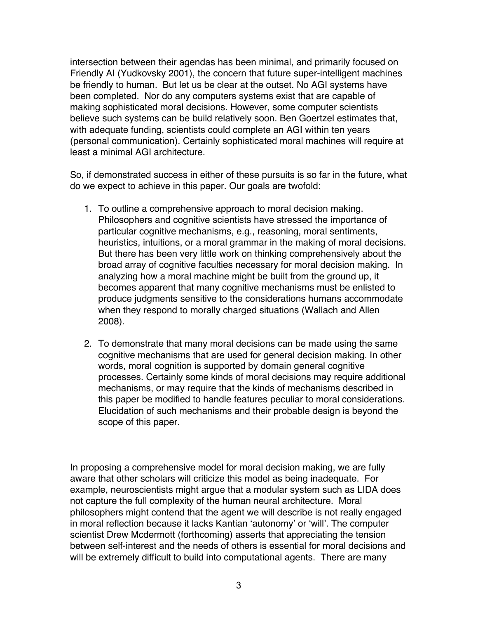intersection between their agendas has been minimal, and primarily focused on Friendly AI (Yudkovsky 2001), the concern that future super-intelligent machines be friendly to human. But let us be clear at the outset. No AGI systems have been completed. Nor do any computers systems exist that are capable of making sophisticated moral decisions. However, some computer scientists believe such systems can be build relatively soon. Ben Goertzel estimates that, with adequate funding, scientists could complete an AGI within ten years (personal communication). Certainly sophisticated moral machines will require at least a minimal AGI architecture.

So, if demonstrated success in either of these pursuits is so far in the future, what do we expect to achieve in this paper. Our goals are twofold:

- 1. To outline a comprehensive approach to moral decision making. Philosophers and cognitive scientists have stressed the importance of particular cognitive mechanisms, e.g., reasoning, moral sentiments, heuristics, intuitions, or a moral grammar in the making of moral decisions. But there has been very little work on thinking comprehensively about the broad array of cognitive faculties necessary for moral decision making. In analyzing how a moral machine might be built from the ground up, it becomes apparent that many cognitive mechanisms must be enlisted to produce judgments sensitive to the considerations humans accommodate when they respond to morally charged situations (Wallach and Allen 2008).
- 2. To demonstrate that many moral decisions can be made using the same cognitive mechanisms that are used for general decision making. In other words, moral cognition is supported by domain general cognitive processes. Certainly some kinds of moral decisions may require additional mechanisms, or may require that the kinds of mechanisms described in this paper be modified to handle features peculiar to moral considerations. Elucidation of such mechanisms and their probable design is beyond the scope of this paper.

In proposing a comprehensive model for moral decision making, we are fully aware that other scholars will criticize this model as being inadequate. For example, neuroscientists might argue that a modular system such as LIDA does not capture the full complexity of the human neural architecture. Moral philosophers might contend that the agent we will describe is not really engaged in moral reflection because it lacks Kantian ʻautonomy' or ʻwill'. The computer scientist Drew Mcdermott (forthcoming) asserts that appreciating the tension between self-interest and the needs of others is essential for moral decisions and will be extremely difficult to build into computational agents. There are many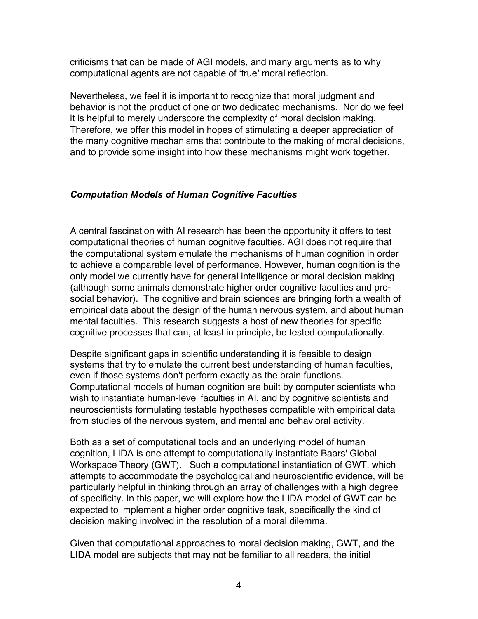criticisms that can be made of AGI models, and many arguments as to why computational agents are not capable of ʻtrue' moral reflection.

Nevertheless, we feel it is important to recognize that moral judgment and behavior is not the product of one or two dedicated mechanisms. Nor do we feel it is helpful to merely underscore the complexity of moral decision making. Therefore, we offer this model in hopes of stimulating a deeper appreciation of the many cognitive mechanisms that contribute to the making of moral decisions, and to provide some insight into how these mechanisms might work together.

#### *Computation Models of Human Cognitive Faculties*

A central fascination with AI research has been the opportunity it offers to test computational theories of human cognitive faculties. AGI does not require that the computational system emulate the mechanisms of human cognition in order to achieve a comparable level of performance. However, human cognition is the only model we currently have for general intelligence or moral decision making (although some animals demonstrate higher order cognitive faculties and prosocial behavior). The cognitive and brain sciences are bringing forth a wealth of empirical data about the design of the human nervous system, and about human mental faculties. This research suggests a host of new theories for specific cognitive processes that can, at least in principle, be tested computationally.

Despite significant gaps in scientific understanding it is feasible to design systems that try to emulate the current best understanding of human faculties, even if those systems don't perform exactly as the brain functions. Computational models of human cognition are built by computer scientists who wish to instantiate human-level faculties in AI, and by cognitive scientists and neuroscientists formulating testable hypotheses compatible with empirical data from studies of the nervous system, and mental and behavioral activity.

Both as a set of computational tools and an underlying model of human cognition, LIDA is one attempt to computationally instantiate Baars' Global Workspace Theory (GWT). Such a computational instantiation of GWT, which attempts to accommodate the psychological and neuroscientific evidence, will be particularly helpful in thinking through an array of challenges with a high degree of specificity. In this paper, we will explore how the LIDA model of GWT can be expected to implement a higher order cognitive task, specifically the kind of decision making involved in the resolution of a moral dilemma.

Given that computational approaches to moral decision making, GWT, and the LIDA model are subjects that may not be familiar to all readers, the initial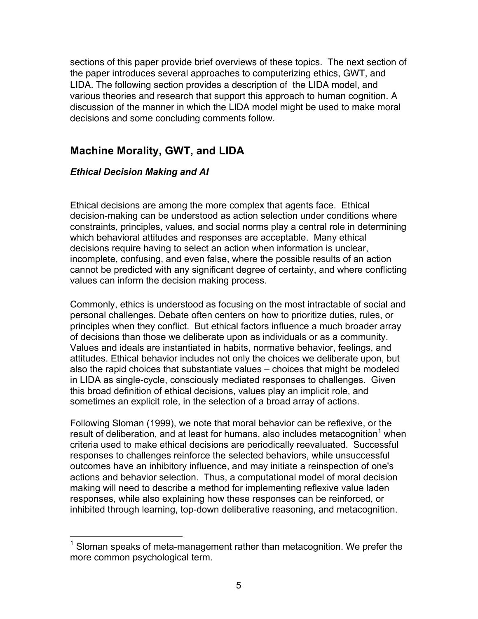sections of this paper provide brief overviews of these topics. The next section of the paper introduces several approaches to computerizing ethics, GWT, and LIDA. The following section provides a description of the LIDA model, and various theories and research that support this approach to human cognition. A discussion of the manner in which the LIDA model might be used to make moral decisions and some concluding comments follow.

# **Machine Morality, GWT, and LIDA**

## *Ethical Decision Making and AI*

Ethical decisions are among the more complex that agents face. Ethical decision-making can be understood as action selection under conditions where constraints, principles, values, and social norms play a central role in determining which behavioral attitudes and responses are acceptable. Many ethical decisions require having to select an action when information is unclear, incomplete, confusing, and even false, where the possible results of an action cannot be predicted with any significant degree of certainty, and where conflicting values can inform the decision making process.

Commonly, ethics is understood as focusing on the most intractable of social and personal challenges. Debate often centers on how to prioritize duties, rules, or principles when they conflict. But ethical factors influence a much broader array of decisions than those we deliberate upon as individuals or as a community. Values and ideals are instantiated in habits, normative behavior, feelings, and attitudes. Ethical behavior includes not only the choices we deliberate upon, but also the rapid choices that substantiate values – choices that might be modeled in LIDA as single-cycle, consciously mediated responses to challenges. Given this broad definition of ethical decisions, values play an implicit role, and sometimes an explicit role, in the selection of a broad array of actions.

Following Sloman (1999), we note that moral behavior can be reflexive, or the result of deliberation, and at least for humans, also includes metacognition<sup>1</sup> when criteria used to make ethical decisions are periodically reevaluated. Successful responses to challenges reinforce the selected behaviors, while unsuccessful outcomes have an inhibitory influence, and may initiate a reinspection of one's actions and behavior selection. Thus, a computational model of moral decision making will need to describe a method for implementing reflexive value laden responses, while also explaining how these responses can be reinforced, or inhibited through learning, top-down deliberative reasoning, and metacognition.

 $1$  Sloman speaks of meta-management rather than metacognition. We prefer the more common psychological term.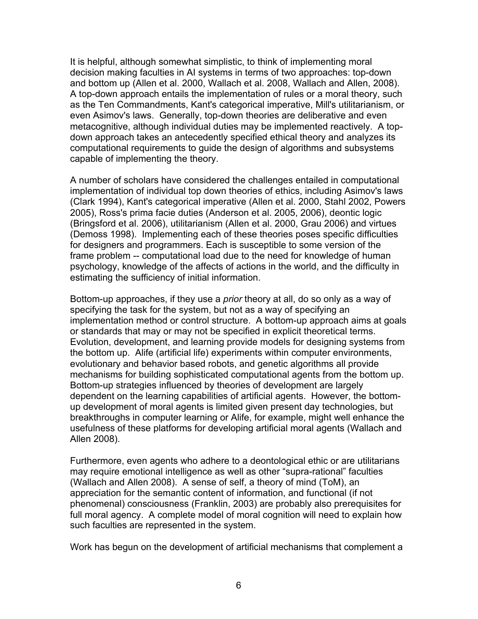It is helpful, although somewhat simplistic, to think of implementing moral decision making faculties in AI systems in terms of two approaches: top-down and bottom up (Allen et al. 2000, Wallach et al. 2008, Wallach and Allen, 2008). A top-down approach entails the implementation of rules or a moral theory, such as the Ten Commandments, Kant's categorical imperative, Mill's utilitarianism, or even Asimov's laws. Generally, top-down theories are deliberative and even metacognitive, although individual duties may be implemented reactively. A topdown approach takes an antecedently specified ethical theory and analyzes its computational requirements to guide the design of algorithms and subsystems capable of implementing the theory.

A number of scholars have considered the challenges entailed in computational implementation of individual top down theories of ethics, including Asimov's laws (Clark 1994), Kant's categorical imperative (Allen et al. 2000, Stahl 2002, Powers 2005), Ross's prima facie duties (Anderson et al. 2005, 2006), deontic logic (Bringsford et al. 2006), utilitarianism (Allen et al. 2000, Grau 2006) and virtues (Demoss 1998). Implementing each of these theories poses specific difficulties for designers and programmers. Each is susceptible to some version of the frame problem -- computational load due to the need for knowledge of human psychology, knowledge of the affects of actions in the world, and the difficulty in estimating the sufficiency of initial information.

Bottom-up approaches, if they use a *prior* theory at all, do so only as a way of specifying the task for the system, but not as a way of specifying an implementation method or control structure. A bottom-up approach aims at goals or standards that may or may not be specified in explicit theoretical terms. Evolution, development, and learning provide models for designing systems from the bottom up. Alife (artificial life) experiments within computer environments, evolutionary and behavior based robots, and genetic algorithms all provide mechanisms for building sophisticated computational agents from the bottom up. Bottom-up strategies influenced by theories of development are largely dependent on the learning capabilities of artificial agents. However, the bottomup development of moral agents is limited given present day technologies, but breakthroughs in computer learning or Alife, for example, might well enhance the usefulness of these platforms for developing artificial moral agents (Wallach and Allen 2008).

Furthermore, even agents who adhere to a deontological ethic or are utilitarians may require emotional intelligence as well as other "supra-rational" faculties (Wallach and Allen 2008). A sense of self, a theory of mind (ToM), an appreciation for the semantic content of information, and functional (if not phenomenal) consciousness (Franklin, 2003) are probably also prerequisites for full moral agency. A complete model of moral cognition will need to explain how such faculties are represented in the system.

Work has begun on the development of artificial mechanisms that complement a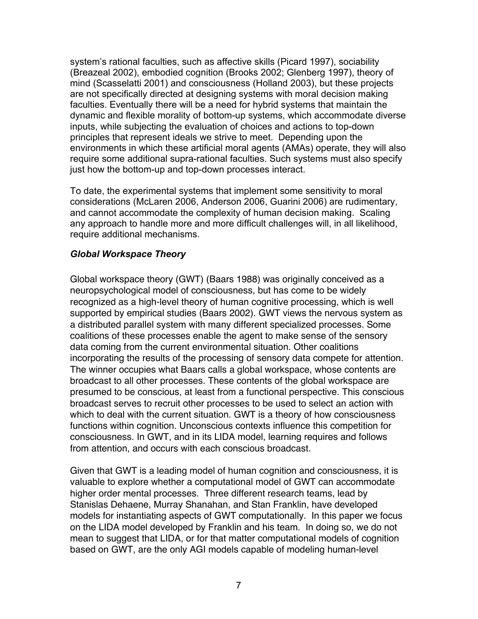system's rational faculties, such as affective skills (Picard 1997), sociability (Breazeal 2002), embodied cognition (Brooks 2002; Glenberg 1997), theory of mind (Scasselatti 2001) and consciousness (Holland 2003), but these projects are not specifically directed at designing systems with moral decision making faculties. Eventually there will be a need for hybrid systems that maintain the dynamic and flexible morality of bottom-up systems, which accommodate diverse inputs, while subjecting the evaluation of choices and actions to top-down principles that represent ideals we strive to meet. Depending upon the environments in which these artificial moral agents (AMAs) operate, they will also require some additional supra-rational faculties. Such systems must also specify just how the bottom-up and top-down processes interact.

To date, the experimental systems that implement some sensitivity to moral considerations (McLaren 2006, Anderson 2006, Guarini 2006) are rudimentary, and cannot accommodate the complexity of human decision making. Scaling any approach to handle more and more difficult challenges will, in all likelihood, require additional mechanisms.

### *Global Workspace Theory*

Global workspace theory (GWT) (Baars 1988) was originally conceived as a neuropsychological model of consciousness, but has come to be widely recognized as a high-level theory of human cognitive processing, which is well supported by empirical studies (Baars 2002). GWT views the nervous system as a distributed parallel system with many different specialized processes. Some coalitions of these processes enable the agent to make sense of the sensory data coming from the current environmental situation. Other coalitions incorporating the results of the processing of sensory data compete for attention. The winner occupies what Baars calls a global workspace, whose contents are broadcast to all other processes. These contents of the global workspace are presumed to be conscious, at least from a functional perspective. This conscious broadcast serves to recruit other processes to be used to select an action with which to deal with the current situation. GWT is a theory of how consciousness functions within cognition. Unconscious contexts influence this competition for consciousness. In GWT, and in its LIDA model, learning requires and follows from attention, and occurs with each conscious broadcast.

Given that GWT is a leading model of human cognition and consciousness, it is valuable to explore whether a computational model of GWT can accommodate higher order mental processes. Three different research teams, lead by Stanislas Dehaene, Murray Shanahan, and Stan Franklin, have developed models for instantiating aspects of GWT computationally. In this paper we focus on the LIDA model developed by Franklin and his team. In doing so, we do not mean to suggest that LIDA, or for that matter computational models of cognition based on GWT, are the only AGI models capable of modeling human-level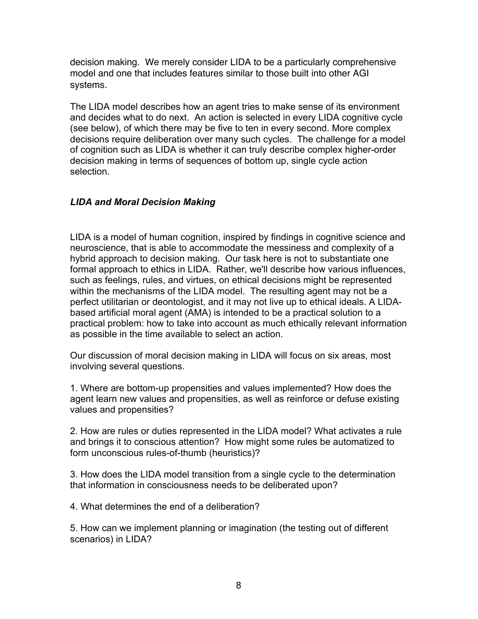decision making. We merely consider LIDA to be a particularly comprehensive model and one that includes features similar to those built into other AGI systems.

The LIDA model describes how an agent tries to make sense of its environment and decides what to do next. An action is selected in every LIDA cognitive cycle (see below), of which there may be five to ten in every second. More complex decisions require deliberation over many such cycles. The challenge for a model of cognition such as LIDA is whether it can truly describe complex higher-order decision making in terms of sequences of bottom up, single cycle action selection.

## *LIDA and Moral Decision Making*

LIDA is a model of human cognition, inspired by findings in cognitive science and neuroscience, that is able to accommodate the messiness and complexity of a hybrid approach to decision making. Our task here is not to substantiate one formal approach to ethics in LIDA. Rather, we'll describe how various influences, such as feelings, rules, and virtues, on ethical decisions might be represented within the mechanisms of the LIDA model. The resulting agent may not be a perfect utilitarian or deontologist, and it may not live up to ethical ideals. A LIDAbased artificial moral agent (AMA) is intended to be a practical solution to a practical problem: how to take into account as much ethically relevant information as possible in the time available to select an action.

Our discussion of moral decision making in LIDA will focus on six areas, most involving several questions.

1. Where are bottom-up propensities and values implemented? How does the agent learn new values and propensities, as well as reinforce or defuse existing values and propensities?

2. How are rules or duties represented in the LIDA model? What activates a rule and brings it to conscious attention? How might some rules be automatized to form unconscious rules-of-thumb (heuristics)?

3. How does the LIDA model transition from a single cycle to the determination that information in consciousness needs to be deliberated upon?

4. What determines the end of a deliberation?

5. How can we implement planning or imagination (the testing out of different scenarios) in LIDA?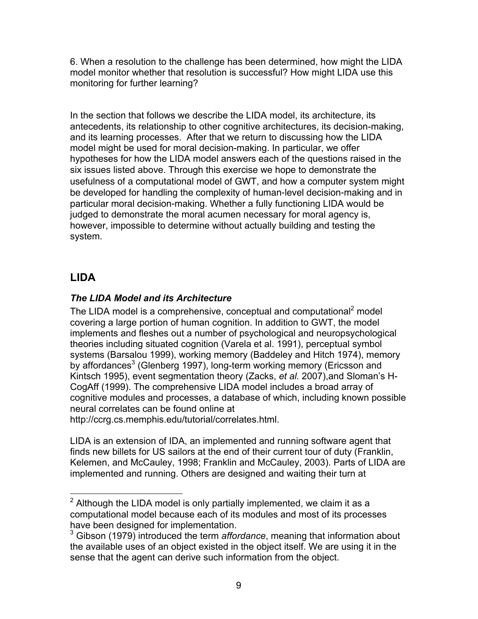6. When a resolution to the challenge has been determined, how might the LIDA model monitor whether that resolution is successful? How might LIDA use this monitoring for further learning?

In the section that follows we describe the LIDA model, its architecture, its antecedents, its relationship to other cognitive architectures, its decision-making, and its learning processes. After that we return to discussing how the LIDA model might be used for moral decision-making. In particular, we offer hypotheses for how the LIDA model answers each of the questions raised in the six issues listed above. Through this exercise we hope to demonstrate the usefulness of a computational model of GWT, and how a computer system might be developed for handling the complexity of human-level decision-making and in particular moral decision-making. Whether a fully functioning LIDA would be judged to demonstrate the moral acumen necessary for moral agency is, however, impossible to determine without actually building and testing the system.

# **LIDA**

# *The LIDA Model and its Architecture*

The LIDA model is a comprehensive, conceptual and computational<sup>2</sup> model covering a large portion of human cognition. In addition to GWT, the model implements and fleshes out a number of psychological and neuropsychological theories including situated cognition (Varela et al. 1991), perceptual symbol systems (Barsalou 1999), working memory (Baddeley and Hitch 1974), memory by affordances<sup>3</sup> (Glenberg 1997), long-term working memory (Ericsson and Kintsch 1995), event segmentation theory (Zacks, *et al.* 2007),and Sloman's H-CogAff (1999). The comprehensive LIDA model includes a broad array of cognitive modules and processes, a database of which, including known possible neural correlates can be found online at

http://ccrg.cs.memphis.edu/tutorial/correlates.html.

LIDA is an extension of IDA, an implemented and running software agent that finds new billets for US sailors at the end of their current tour of duty (Franklin, Kelemen, and McCauley, 1998; Franklin and McCauley, 2003). Parts of LIDA are implemented and running. Others are designed and waiting their turn at

 $2$  Although the LIDA model is only partially implemented, we claim it as a computational model because each of its modules and most of its processes have been designed for implementation.

<sup>3</sup> Gibson (1979) introduced the term *affordance*, meaning that information about the available uses of an object existed in the object itself. We are using it in the sense that the agent can derive such information from the object.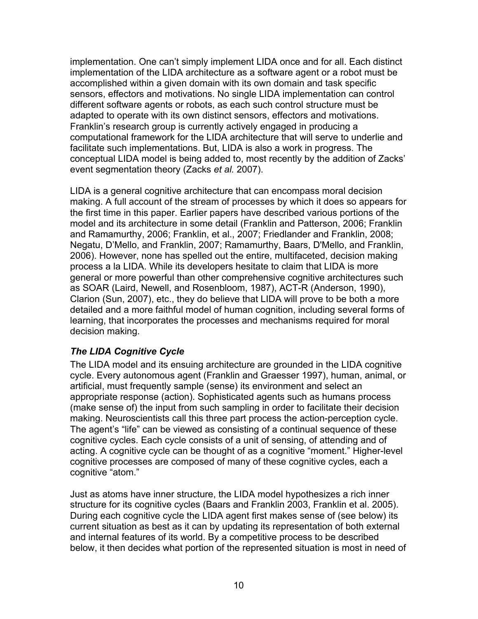implementation. One can't simply implement LIDA once and for all. Each distinct implementation of the LIDA architecture as a software agent or a robot must be accomplished within a given domain with its own domain and task specific sensors, effectors and motivations. No single LIDA implementation can control different software agents or robots, as each such control structure must be adapted to operate with its own distinct sensors, effectors and motivations. Franklin's research group is currently actively engaged in producing a computational framework for the LIDA architecture that will serve to underlie and facilitate such implementations. But, LIDA is also a work in progress. The conceptual LIDA model is being added to, most recently by the addition of Zacks' event segmentation theory (Zacks *et al.* 2007).

LIDA is a general cognitive architecture that can encompass moral decision making. A full account of the stream of processes by which it does so appears for the first time in this paper. Earlier papers have described various portions of the model and its architecture in some detail (Franklin and Patterson, 2006; Franklin and Ramamurthy, 2006; Franklin, et al., 2007; Friedlander and Franklin, 2008; Negatu, D'Mello, and Franklin, 2007; Ramamurthy, Baars, D'Mello, and Franklin, 2006). However, none has spelled out the entire, multifaceted, decision making process a la LIDA. While its developers hesitate to claim that LIDA is more general or more powerful than other comprehensive cognitive architectures such as SOAR (Laird, Newell, and Rosenbloom, 1987), ACT-R (Anderson, 1990), Clarion (Sun, 2007), etc., they do believe that LIDA will prove to be both a more detailed and a more faithful model of human cognition, including several forms of learning, that incorporates the processes and mechanisms required for moral decision making.

# *The LIDA Cognitive Cycle*

The LIDA model and its ensuing architecture are grounded in the LIDA cognitive cycle. Every autonomous agent (Franklin and Graesser 1997), human, animal, or artificial, must frequently sample (sense) its environment and select an appropriate response (action). Sophisticated agents such as humans process (make sense of) the input from such sampling in order to facilitate their decision making. Neuroscientists call this three part process the action-perception cycle. The agent's "life" can be viewed as consisting of a continual sequence of these cognitive cycles. Each cycle consists of a unit of sensing, of attending and of acting. A cognitive cycle can be thought of as a cognitive "moment." Higher-level cognitive processes are composed of many of these cognitive cycles, each a cognitive "atom."

Just as atoms have inner structure, the LIDA model hypothesizes a rich inner structure for its cognitive cycles (Baars and Franklin 2003, Franklin et al. 2005). During each cognitive cycle the LIDA agent first makes sense of (see below) its current situation as best as it can by updating its representation of both external and internal features of its world. By a competitive process to be described below, it then decides what portion of the represented situation is most in need of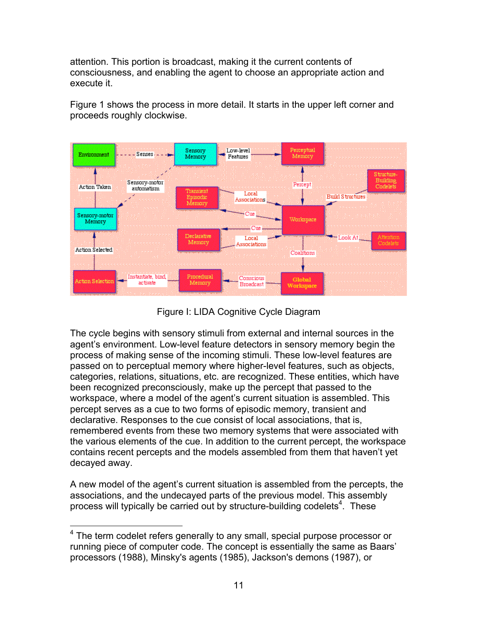attention. This portion is broadcast, making it the current contents of consciousness, and enabling the agent to choose an appropriate action and execute it.

Figure 1 shows the process in more detail. It starts in the upper left corner and proceeds roughly clockwise.



Figure I: LIDA Cognitive Cycle Diagram

The cycle begins with sensory stimuli from external and internal sources in the agent's environment. Low-level feature detectors in sensory memory begin the process of making sense of the incoming stimuli. These low-level features are passed on to perceptual memory where higher-level features, such as objects, categories, relations, situations, etc. are recognized. These entities, which have been recognized preconsciously, make up the percept that passed to the workspace, where a model of the agent's current situation is assembled. This percept serves as a cue to two forms of episodic memory, transient and declarative. Responses to the cue consist of local associations, that is, remembered events from these two memory systems that were associated with the various elements of the cue. In addition to the current percept, the workspace contains recent percepts and the models assembled from them that haven't yet decayed away.

A new model of the agent's current situation is assembled from the percepts, the associations, and the undecayed parts of the previous model. This assembly process will typically be carried out by structure-building codelets<sup>4</sup>. These

<sup>&</sup>lt;sup>4</sup> The term codelet refers generally to any small, special purpose processor or running piece of computer code. The concept is essentially the same as Baars' processors (1988), Minsky's agents (1985), Jackson's demons (1987), or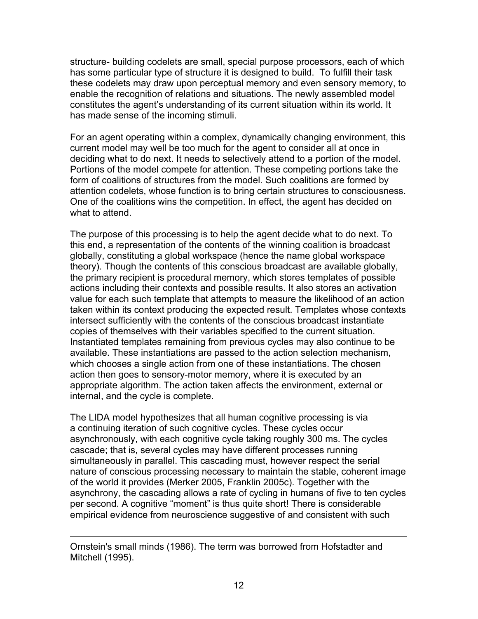structure- building codelets are small, special purpose processors, each of which has some particular type of structure it is designed to build. To fulfill their task these codelets may draw upon perceptual memory and even sensory memory, to enable the recognition of relations and situations. The newly assembled model constitutes the agent's understanding of its current situation within its world. It has made sense of the incoming stimuli.

For an agent operating within a complex, dynamically changing environment, this current model may well be too much for the agent to consider all at once in deciding what to do next. It needs to selectively attend to a portion of the model. Portions of the model compete for attention. These competing portions take the form of coalitions of structures from the model. Such coalitions are formed by attention codelets, whose function is to bring certain structures to consciousness. One of the coalitions wins the competition. In effect, the agent has decided on what to attend.

The purpose of this processing is to help the agent decide what to do next. To this end, a representation of the contents of the winning coalition is broadcast globally, constituting a global workspace (hence the name global workspace theory). Though the contents of this conscious broadcast are available globally, the primary recipient is procedural memory, which stores templates of possible actions including their contexts and possible results. It also stores an activation value for each such template that attempts to measure the likelihood of an action taken within its context producing the expected result. Templates whose contexts intersect sufficiently with the contents of the conscious broadcast instantiate copies of themselves with their variables specified to the current situation. Instantiated templates remaining from previous cycles may also continue to be available. These instantiations are passed to the action selection mechanism, which chooses a single action from one of these instantiations. The chosen action then goes to sensory-motor memory, where it is executed by an appropriate algorithm. The action taken affects the environment, external or internal, and the cycle is complete.

The LIDA model hypothesizes that all human cognitive processing is via a continuing iteration of such cognitive cycles. These cycles occur asynchronously, with each cognitive cycle taking roughly 300 ms. The cycles cascade; that is, several cycles may have different processes running simultaneously in parallel. This cascading must, however respect the serial nature of conscious processing necessary to maintain the stable, coherent image of the world it provides (Merker 2005, Franklin 2005c). Together with the asynchrony, the cascading allows a rate of cycling in humans of five to ten cycles per second. A cognitive "moment" is thus quite short! There is considerable empirical evidence from neuroscience suggestive of and consistent with such

1

Ornstein's small minds (1986). The term was borrowed from Hofstadter and Mitchell (1995).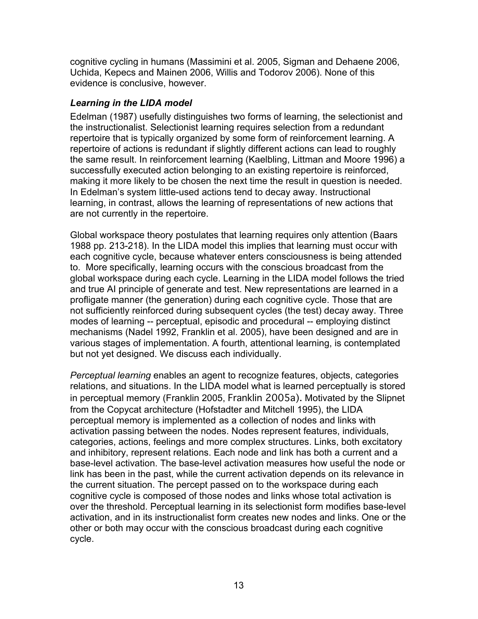cognitive cycling in humans (Massimini et al. 2005, Sigman and Dehaene 2006, Uchida, Kepecs and Mainen 2006, Willis and Todorov 2006). None of this evidence is conclusive, however.

## *Learning in the LIDA model*

Edelman (1987) usefully distinguishes two forms of learning, the selectionist and the instructionalist. Selectionist learning requires selection from a redundant repertoire that is typically organized by some form of reinforcement learning. A repertoire of actions is redundant if slightly different actions can lead to roughly the same result. In reinforcement learning (Kaelbling, Littman and Moore 1996) a successfully executed action belonging to an existing repertoire is reinforced, making it more likely to be chosen the next time the result in question is needed. In Edelman's system little-used actions tend to decay away. Instructional learning, in contrast, allows the learning of representations of new actions that are not currently in the repertoire.

Global workspace theory postulates that learning requires only attention (Baars 1988 pp. 213-218). In the LIDA model this implies that learning must occur with each cognitive cycle, because whatever enters consciousness is being attended to. More specifically, learning occurs with the conscious broadcast from the global workspace during each cycle. Learning in the LIDA model follows the tried and true AI principle of generate and test. New representations are learned in a profligate manner (the generation) during each cognitive cycle. Those that are not sufficiently reinforced during subsequent cycles (the test) decay away. Three modes of learning -- perceptual, episodic and procedural -- employing distinct mechanisms (Nadel 1992, Franklin et al. 2005), have been designed and are in various stages of implementation. A fourth, attentional learning, is contemplated but not yet designed. We discuss each individually.

*Perceptual learning* enables an agent to recognize features, objects, categories relations, and situations. In the LIDA model what is learned perceptually is stored in perceptual memory (Franklin 2005, Franklin 2005a). Motivated by the Slipnet from the Copycat architecture (Hofstadter and Mitchell 1995), the LIDA perceptual memory is implemented as a collection of nodes and links with activation passing between the nodes. Nodes represent features, individuals, categories, actions, feelings and more complex structures. Links, both excitatory and inhibitory, represent relations. Each node and link has both a current and a base-level activation. The base-level activation measures how useful the node or link has been in the past, while the current activation depends on its relevance in the current situation. The percept passed on to the workspace during each cognitive cycle is composed of those nodes and links whose total activation is over the threshold. Perceptual learning in its selectionist form modifies base-level activation, and in its instructionalist form creates new nodes and links. One or the other or both may occur with the conscious broadcast during each cognitive cycle.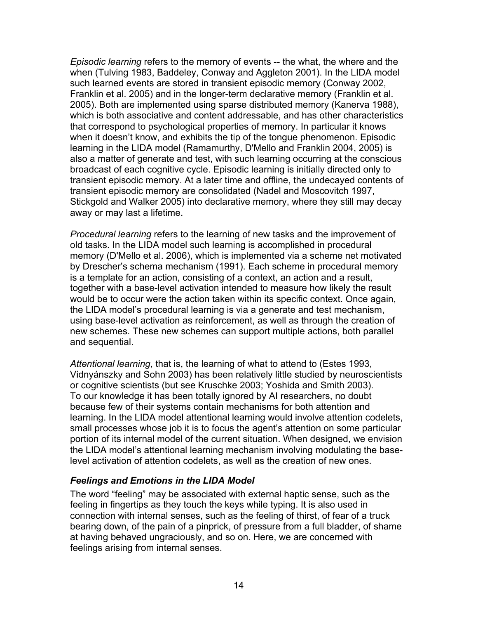*Episodic learning* refers to the memory of events -- the what, the where and the when (Tulving 1983, Baddeley, Conway and Aggleton 2001). In the LIDA model such learned events are stored in transient episodic memory (Conway 2002, Franklin et al. 2005) and in the longer-term declarative memory (Franklin et al. 2005). Both are implemented using sparse distributed memory (Kanerva 1988), which is both associative and content addressable, and has other characteristics that correspond to psychological properties of memory. In particular it knows when it doesn't know, and exhibits the tip of the tongue phenomenon. Episodic learning in the LIDA model (Ramamurthy, D'Mello and Franklin 2004, 2005) is also a matter of generate and test, with such learning occurring at the conscious broadcast of each cognitive cycle. Episodic learning is initially directed only to transient episodic memory. At a later time and offline, the undecayed contents of transient episodic memory are consolidated (Nadel and Moscovitch 1997, Stickgold and Walker 2005) into declarative memory, where they still may decay away or may last a lifetime.

*Procedural learning* refers to the learning of new tasks and the improvement of old tasks. In the LIDA model such learning is accomplished in procedural memory (D'Mello et al. 2006), which is implemented via a scheme net motivated by Drescher's schema mechanism (1991). Each scheme in procedural memory is a template for an action, consisting of a context, an action and a result, together with a base-level activation intended to measure how likely the result would be to occur were the action taken within its specific context. Once again, the LIDA model's procedural learning is via a generate and test mechanism, using base-level activation as reinforcement, as well as through the creation of new schemes. These new schemes can support multiple actions, both parallel and sequential.

*Attentional learning*, that is, the learning of what to attend to (Estes 1993, Vidnyánszky and Sohn 2003) has been relatively little studied by neuroscientists or cognitive scientists (but see Kruschke 2003; Yoshida and Smith 2003). To our knowledge it has been totally ignored by AI researchers, no doubt because few of their systems contain mechanisms for both attention and learning. In the LIDA model attentional learning would involve attention codelets, small processes whose job it is to focus the agent's attention on some particular portion of its internal model of the current situation. When designed, we envision the LIDA model's attentional learning mechanism involving modulating the baselevel activation of attention codelets, as well as the creation of new ones.

#### *Feelings and Emotions in the LIDA Model*

The word "feeling" may be associated with external haptic sense, such as the feeling in fingertips as they touch the keys while typing. It is also used in connection with internal senses, such as the feeling of thirst, of fear of a truck bearing down, of the pain of a pinprick, of pressure from a full bladder, of shame at having behaved ungraciously, and so on. Here, we are concerned with feelings arising from internal senses.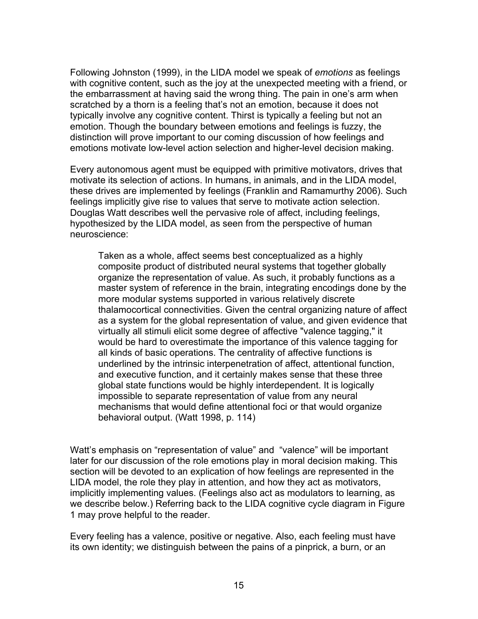Following Johnston (1999), in the LIDA model we speak of *emotions* as feelings with cognitive content, such as the joy at the unexpected meeting with a friend, or the embarrassment at having said the wrong thing. The pain in one's arm when scratched by a thorn is a feeling that's not an emotion, because it does not typically involve any cognitive content. Thirst is typically a feeling but not an emotion. Though the boundary between emotions and feelings is fuzzy, the distinction will prove important to our coming discussion of how feelings and emotions motivate low-level action selection and higher-level decision making.

Every autonomous agent must be equipped with primitive motivators, drives that motivate its selection of actions. In humans, in animals, and in the LIDA model, these drives are implemented by feelings (Franklin and Ramamurthy 2006). Such feelings implicitly give rise to values that serve to motivate action selection. Douglas Watt describes well the pervasive role of affect, including feelings, hypothesized by the LIDA model, as seen from the perspective of human neuroscience:

Taken as a whole, affect seems best conceptualized as a highly composite product of distributed neural systems that together globally organize the representation of value. As such, it probably functions as a master system of reference in the brain, integrating encodings done by the more modular systems supported in various relatively discrete thalamocortical connectivities. Given the central organizing nature of affect as a system for the global representation of value, and given evidence that virtually all stimuli elicit some degree of affective "valence tagging," it would be hard to overestimate the importance of this valence tagging for all kinds of basic operations. The centrality of affective functions is underlined by the intrinsic interpenetration of affect, attentional function, and executive function, and it certainly makes sense that these three global state functions would be highly interdependent. It is logically impossible to separate representation of value from any neural mechanisms that would define attentional foci or that would organize behavioral output. (Watt 1998, p. 114)

Watt's emphasis on "representation of value" and "valence" will be important later for our discussion of the role emotions play in moral decision making. This section will be devoted to an explication of how feelings are represented in the LIDA model, the role they play in attention, and how they act as motivators, implicitly implementing values. (Feelings also act as modulators to learning, as we describe below.) Referring back to the LIDA cognitive cycle diagram in Figure 1 may prove helpful to the reader.

Every feeling has a valence, positive or negative. Also, each feeling must have its own identity; we distinguish between the pains of a pinprick, a burn, or an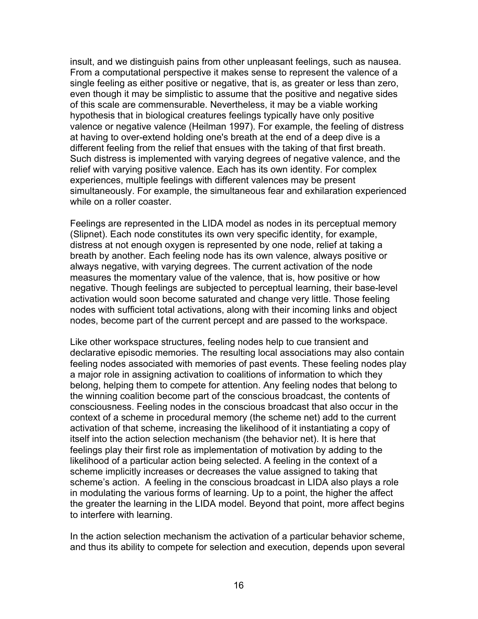insult, and we distinguish pains from other unpleasant feelings, such as nausea. From a computational perspective it makes sense to represent the valence of a single feeling as either positive or negative, that is, as greater or less than zero, even though it may be simplistic to assume that the positive and negative sides of this scale are commensurable. Nevertheless, it may be a viable working hypothesis that in biological creatures feelings typically have only positive valence or negative valence (Heilman 1997). For example, the feeling of distress at having to over-extend holding one's breath at the end of a deep dive is a different feeling from the relief that ensues with the taking of that first breath. Such distress is implemented with varying degrees of negative valence, and the relief with varying positive valence. Each has its own identity. For complex experiences, multiple feelings with different valences may be present simultaneously. For example, the simultaneous fear and exhilaration experienced while on a roller coaster.

Feelings are represented in the LIDA model as nodes in its perceptual memory (Slipnet). Each node constitutes its own very specific identity, for example, distress at not enough oxygen is represented by one node, relief at taking a breath by another. Each feeling node has its own valence, always positive or always negative, with varying degrees. The current activation of the node measures the momentary value of the valence, that is, how positive or how negative. Though feelings are subjected to perceptual learning, their base-level activation would soon become saturated and change very little. Those feeling nodes with sufficient total activations, along with their incoming links and object nodes, become part of the current percept and are passed to the workspace.

Like other workspace structures, feeling nodes help to cue transient and declarative episodic memories. The resulting local associations may also contain feeling nodes associated with memories of past events. These feeling nodes play a major role in assigning activation to coalitions of information to which they belong, helping them to compete for attention. Any feeling nodes that belong to the winning coalition become part of the conscious broadcast, the contents of consciousness. Feeling nodes in the conscious broadcast that also occur in the context of a scheme in procedural memory (the scheme net) add to the current activation of that scheme, increasing the likelihood of it instantiating a copy of itself into the action selection mechanism (the behavior net). It is here that feelings play their first role as implementation of motivation by adding to the likelihood of a particular action being selected. A feeling in the context of a scheme implicitly increases or decreases the value assigned to taking that scheme's action. A feeling in the conscious broadcast in LIDA also plays a role in modulating the various forms of learning. Up to a point, the higher the affect the greater the learning in the LIDA model. Beyond that point, more affect begins to interfere with learning.

In the action selection mechanism the activation of a particular behavior scheme, and thus its ability to compete for selection and execution, depends upon several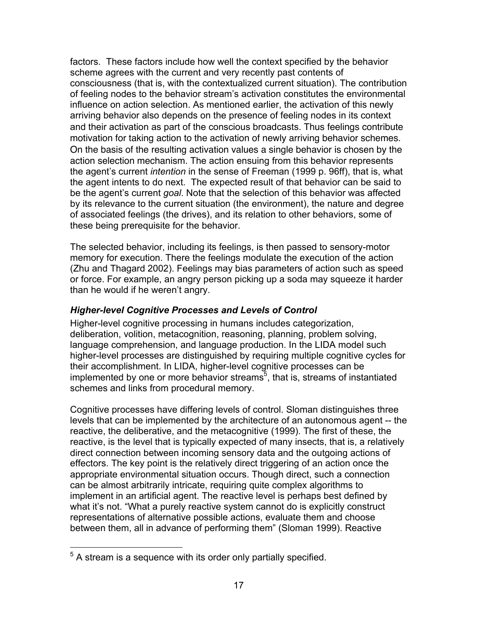factors. These factors include how well the context specified by the behavior scheme agrees with the current and very recently past contents of consciousness (that is, with the contextualized current situation). The contribution of feeling nodes to the behavior stream's activation constitutes the environmental influence on action selection. As mentioned earlier, the activation of this newly arriving behavior also depends on the presence of feeling nodes in its context and their activation as part of the conscious broadcasts. Thus feelings contribute motivation for taking action to the activation of newly arriving behavior schemes. On the basis of the resulting activation values a single behavior is chosen by the action selection mechanism. The action ensuing from this behavior represents the agent's current *intention* in the sense of Freeman (1999 p. 96ff), that is, what the agent intents to do next. The expected result of that behavior can be said to be the agent's current *goal*. Note that the selection of this behavior was affected by its relevance to the current situation (the environment), the nature and degree of associated feelings (the drives), and its relation to other behaviors, some of these being prerequisite for the behavior.

The selected behavior, including its feelings, is then passed to sensory-motor memory for execution. There the feelings modulate the execution of the action (Zhu and Thagard 2002). Feelings may bias parameters of action such as speed or force. For example, an angry person picking up a soda may squeeze it harder than he would if he weren't angry.

### *Higher-level Cognitive Processes and Levels of Control*

Higher-level cognitive processing in humans includes categorization, deliberation, volition, metacognition, reasoning, planning, problem solving, language comprehension, and language production. In the LIDA model such higher-level processes are distinguished by requiring multiple cognitive cycles for their accomplishment. In LIDA, higher-level cognitive processes can be implemented by one or more behavior streams $\overline{5}$ , that is, streams of instantiated schemes and links from procedural memory.

Cognitive processes have differing levels of control. Sloman distinguishes three levels that can be implemented by the architecture of an autonomous agent -- the reactive, the deliberative, and the metacognitive (1999). The first of these, the reactive, is the level that is typically expected of many insects, that is, a relatively direct connection between incoming sensory data and the outgoing actions of effectors. The key point is the relatively direct triggering of an action once the appropriate environmental situation occurs. Though direct, such a connection can be almost arbitrarily intricate, requiring quite complex algorithms to implement in an artificial agent. The reactive level is perhaps best defined by what it's not. "What a purely reactive system cannot do is explicitly construct representations of alternative possible actions, evaluate them and choose between them, all in advance of performing them" (Sloman 1999). Reactive

 $5$  A stream is a sequence with its order only partially specified.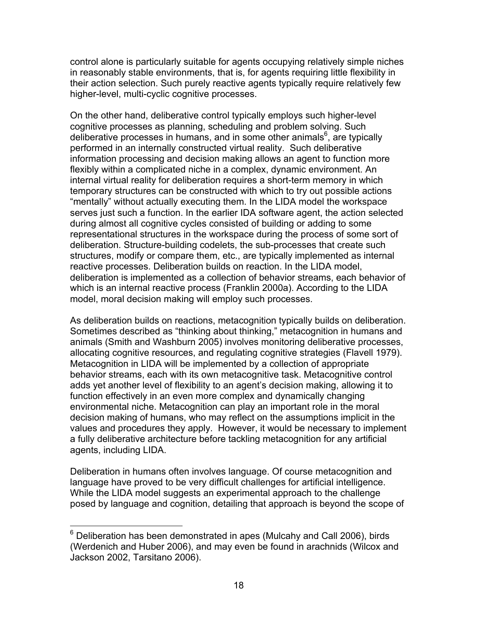control alone is particularly suitable for agents occupying relatively simple niches in reasonably stable environments, that is, for agents requiring little flexibility in their action selection. Such purely reactive agents typically require relatively few higher-level, multi-cyclic cognitive processes.

On the other hand, deliberative control typically employs such higher-level cognitive processes as planning, scheduling and problem solving. Such deliberative processes in humans, and in some other animals<sup>6</sup>, are typically performed in an internally constructed virtual reality. Such deliberative information processing and decision making allows an agent to function more flexibly within a complicated niche in a complex, dynamic environment. An internal virtual reality for deliberation requires a short-term memory in which temporary structures can be constructed with which to try out possible actions "mentally" without actually executing them. In the LIDA model the workspace serves just such a function. In the earlier IDA software agent, the action selected during almost all cognitive cycles consisted of building or adding to some representational structures in the workspace during the process of some sort of deliberation. Structure-building codelets, the sub-processes that create such structures, modify or compare them, etc., are typically implemented as internal reactive processes. Deliberation builds on reaction. In the LIDA model, deliberation is implemented as a collection of behavior streams, each behavior of which is an internal reactive process (Franklin 2000a). According to the LIDA model, moral decision making will employ such processes.

As deliberation builds on reactions, metacognition typically builds on deliberation. Sometimes described as "thinking about thinking," metacognition in humans and animals (Smith and Washburn 2005) involves monitoring deliberative processes, allocating cognitive resources, and regulating cognitive strategies (Flavell 1979). Metacognition in LIDA will be implemented by a collection of appropriate behavior streams, each with its own metacognitive task. Metacognitive control adds yet another level of flexibility to an agent's decision making, allowing it to function effectively in an even more complex and dynamically changing environmental niche. Metacognition can play an important role in the moral decision making of humans, who may reflect on the assumptions implicit in the values and procedures they apply. However, it would be necessary to implement a fully deliberative architecture before tackling metacognition for any artificial agents, including LIDA.

Deliberation in humans often involves language. Of course metacognition and language have proved to be very difficult challenges for artificial intelligence. While the LIDA model suggests an experimental approach to the challenge posed by language and cognition, detailing that approach is beyond the scope of

 $6$  Deliberation has been demonstrated in apes (Mulcahy and Call 2006), birds (Werdenich and Huber 2006), and may even be found in arachnids (Wilcox and Jackson 2002, Tarsitano 2006).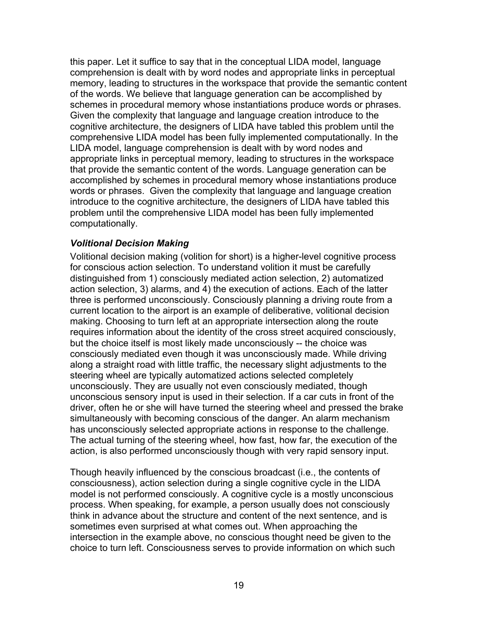this paper. Let it suffice to say that in the conceptual LIDA model, language comprehension is dealt with by word nodes and appropriate links in perceptual memory, leading to structures in the workspace that provide the semantic content of the words. We believe that language generation can be accomplished by schemes in procedural memory whose instantiations produce words or phrases. Given the complexity that language and language creation introduce to the cognitive architecture, the designers of LIDA have tabled this problem until the comprehensive LIDA model has been fully implemented computationally. In the LIDA model, language comprehension is dealt with by word nodes and appropriate links in perceptual memory, leading to structures in the workspace that provide the semantic content of the words. Language generation can be accomplished by schemes in procedural memory whose instantiations produce words or phrases. Given the complexity that language and language creation introduce to the cognitive architecture, the designers of LIDA have tabled this problem until the comprehensive LIDA model has been fully implemented computationally.

#### *Volitional Decision Making*

Volitional decision making (volition for short) is a higher-level cognitive process for conscious action selection. To understand volition it must be carefully distinguished from 1) consciously mediated action selection, 2) automatized action selection, 3) alarms, and 4) the execution of actions. Each of the latter three is performed unconsciously. Consciously planning a driving route from a current location to the airport is an example of deliberative, volitional decision making. Choosing to turn left at an appropriate intersection along the route requires information about the identity of the cross street acquired consciously, but the choice itself is most likely made unconsciously -- the choice was consciously mediated even though it was unconsciously made. While driving along a straight road with little traffic, the necessary slight adjustments to the steering wheel are typically automatized actions selected completely unconsciously. They are usually not even consciously mediated, though unconscious sensory input is used in their selection. If a car cuts in front of the driver, often he or she will have turned the steering wheel and pressed the brake simultaneously with becoming conscious of the danger. An alarm mechanism has unconsciously selected appropriate actions in response to the challenge. The actual turning of the steering wheel, how fast, how far, the execution of the action, is also performed unconsciously though with very rapid sensory input.

Though heavily influenced by the conscious broadcast (i.e., the contents of consciousness), action selection during a single cognitive cycle in the LIDA model is not performed consciously. A cognitive cycle is a mostly unconscious process. When speaking, for example, a person usually does not consciously think in advance about the structure and content of the next sentence, and is sometimes even surprised at what comes out. When approaching the intersection in the example above, no conscious thought need be given to the choice to turn left. Consciousness serves to provide information on which such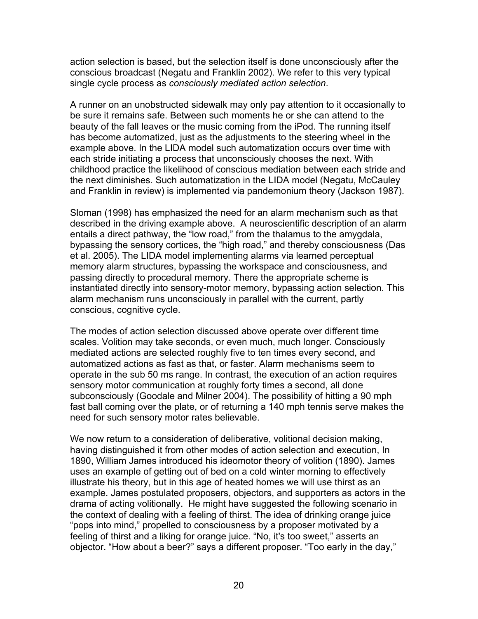action selection is based, but the selection itself is done unconsciously after the conscious broadcast (Negatu and Franklin 2002). We refer to this very typical single cycle process as *consciously mediated action selection*.

A runner on an unobstructed sidewalk may only pay attention to it occasionally to be sure it remains safe. Between such moments he or she can attend to the beauty of the fall leaves or the music coming from the iPod. The running itself has become automatized, just as the adjustments to the steering wheel in the example above. In the LIDA model such automatization occurs over time with each stride initiating a process that unconsciously chooses the next. With childhood practice the likelihood of conscious mediation between each stride and the next diminishes. Such automatization in the LIDA model (Negatu, McCauley and Franklin in review) is implemented via pandemonium theory (Jackson 1987).

Sloman (1998) has emphasized the need for an alarm mechanism such as that described in the driving example above. A neuroscientific description of an alarm entails a direct pathway, the "low road," from the thalamus to the amygdala, bypassing the sensory cortices, the "high road," and thereby consciousness (Das et al. 2005). The LIDA model implementing alarms via learned perceptual memory alarm structures, bypassing the workspace and consciousness, and passing directly to procedural memory. There the appropriate scheme is instantiated directly into sensory-motor memory, bypassing action selection. This alarm mechanism runs unconsciously in parallel with the current, partly conscious, cognitive cycle.

The modes of action selection discussed above operate over different time scales. Volition may take seconds, or even much, much longer. Consciously mediated actions are selected roughly five to ten times every second, and automatized actions as fast as that, or faster. Alarm mechanisms seem to operate in the sub 50 ms range. In contrast, the execution of an action requires sensory motor communication at roughly forty times a second, all done subconsciously (Goodale and Milner 2004). The possibility of hitting a 90 mph fast ball coming over the plate, or of returning a 140 mph tennis serve makes the need for such sensory motor rates believable.

We now return to a consideration of deliberative, volitional decision making, having distinguished it from other modes of action selection and execution, In 1890, William James introduced his ideomotor theory of volition (1890). James uses an example of getting out of bed on a cold winter morning to effectively illustrate his theory, but in this age of heated homes we will use thirst as an example. James postulated proposers, objectors, and supporters as actors in the drama of acting volitionally. He might have suggested the following scenario in the context of dealing with a feeling of thirst. The idea of drinking orange juice "pops into mind," propelled to consciousness by a proposer motivated by a feeling of thirst and a liking for orange juice. "No, it's too sweet," asserts an objector. "How about a beer?" says a different proposer. "Too early in the day,"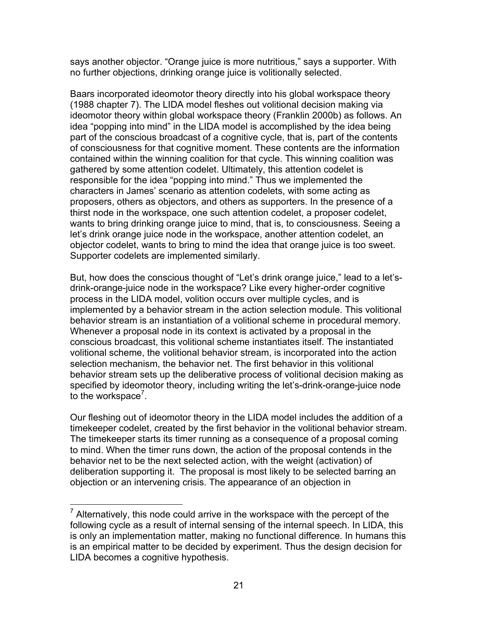says another objector. "Orange juice is more nutritious," says a supporter. With no further objections, drinking orange juice is volitionally selected.

Baars incorporated ideomotor theory directly into his global workspace theory (1988 chapter 7). The LIDA model fleshes out volitional decision making via ideomotor theory within global workspace theory (Franklin 2000b) as follows. An idea "popping into mind" in the LIDA model is accomplished by the idea being part of the conscious broadcast of a cognitive cycle, that is, part of the contents of consciousness for that cognitive moment. These contents are the information contained within the winning coalition for that cycle. This winning coalition was gathered by some attention codelet. Ultimately, this attention codelet is responsible for the idea "popping into mind." Thus we implemented the characters in James' scenario as attention codelets, with some acting as proposers, others as objectors, and others as supporters. In the presence of a thirst node in the workspace, one such attention codelet, a proposer codelet, wants to bring drinking orange juice to mind, that is, to consciousness. Seeing a let's drink orange juice node in the workspace, another attention codelet, an objector codelet, wants to bring to mind the idea that orange juice is too sweet. Supporter codelets are implemented similarly.

But, how does the conscious thought of "Let's drink orange juice," lead to a let'sdrink-orange-juice node in the workspace? Like every higher-order cognitive process in the LIDA model, volition occurs over multiple cycles, and is implemented by a behavior stream in the action selection module. This volitional behavior stream is an instantiation of a volitional scheme in procedural memory. Whenever a proposal node in its context is activated by a proposal in the conscious broadcast, this volitional scheme instantiates itself. The instantiated volitional scheme, the volitional behavior stream, is incorporated into the action selection mechanism, the behavior net. The first behavior in this volitional behavior stream sets up the deliberative process of volitional decision making as specified by ideomotor theory, including writing the let's-drink-orange-juice node to the workspace<sup>7</sup>.

Our fleshing out of ideomotor theory in the LIDA model includes the addition of a timekeeper codelet, created by the first behavior in the volitional behavior stream. The timekeeper starts its timer running as a consequence of a proposal coming to mind. When the timer runs down, the action of the proposal contends in the behavior net to be the next selected action, with the weight (activation) of deliberation supporting it. The proposal is most likely to be selected barring an objection or an intervening crisis. The appearance of an objection in

 $7$  Alternatively, this node could arrive in the workspace with the percept of the following cycle as a result of internal sensing of the internal speech. In LIDA, this is only an implementation matter, making no functional difference. In humans this is an empirical matter to be decided by experiment. Thus the design decision for LIDA becomes a cognitive hypothesis.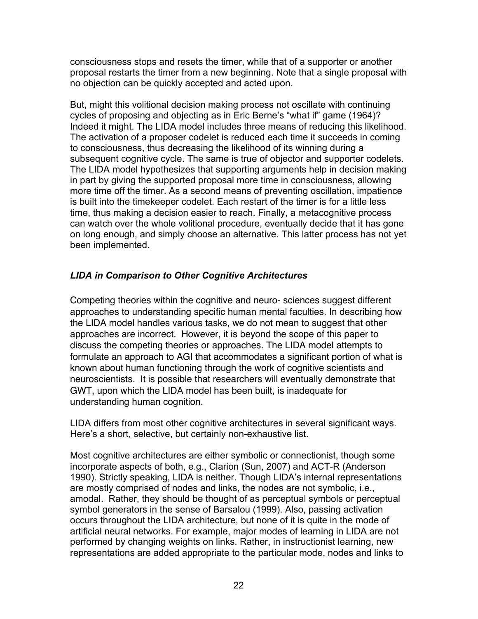consciousness stops and resets the timer, while that of a supporter or another proposal restarts the timer from a new beginning. Note that a single proposal with no objection can be quickly accepted and acted upon.

But, might this volitional decision making process not oscillate with continuing cycles of proposing and objecting as in Eric Berne's "what if" game (1964)? Indeed it might. The LIDA model includes three means of reducing this likelihood. The activation of a proposer codelet is reduced each time it succeeds in coming to consciousness, thus decreasing the likelihood of its winning during a subsequent cognitive cycle. The same is true of objector and supporter codelets. The LIDA model hypothesizes that supporting arguments help in decision making in part by giving the supported proposal more time in consciousness, allowing more time off the timer. As a second means of preventing oscillation, impatience is built into the timekeeper codelet. Each restart of the timer is for a little less time, thus making a decision easier to reach. Finally, a metacognitive process can watch over the whole volitional procedure, eventually decide that it has gone on long enough, and simply choose an alternative. This latter process has not yet been implemented.

## *LIDA in Comparison to Other Cognitive Architectures*

Competing theories within the cognitive and neuro- sciences suggest different approaches to understanding specific human mental faculties. In describing how the LIDA model handles various tasks, we do not mean to suggest that other approaches are incorrect. However, it is beyond the scope of this paper to discuss the competing theories or approaches. The LIDA model attempts to formulate an approach to AGI that accommodates a significant portion of what is known about human functioning through the work of cognitive scientists and neuroscientists. It is possible that researchers will eventually demonstrate that GWT, upon which the LIDA model has been built, is inadequate for understanding human cognition.

LIDA differs from most other cognitive architectures in several significant ways. Here's a short, selective, but certainly non-exhaustive list.

Most cognitive architectures are either symbolic or connectionist, though some incorporate aspects of both, e.g., Clarion (Sun, 2007) and ACT-R (Anderson 1990). Strictly speaking, LIDA is neither. Though LIDA's internal representations are mostly comprised of nodes and links, the nodes are not symbolic, i.e., amodal. Rather, they should be thought of as perceptual symbols or perceptual symbol generators in the sense of Barsalou (1999). Also, passing activation occurs throughout the LIDA architecture, but none of it is quite in the mode of artificial neural networks. For example, major modes of learning in LIDA are not performed by changing weights on links. Rather, in instructionist learning, new representations are added appropriate to the particular mode, nodes and links to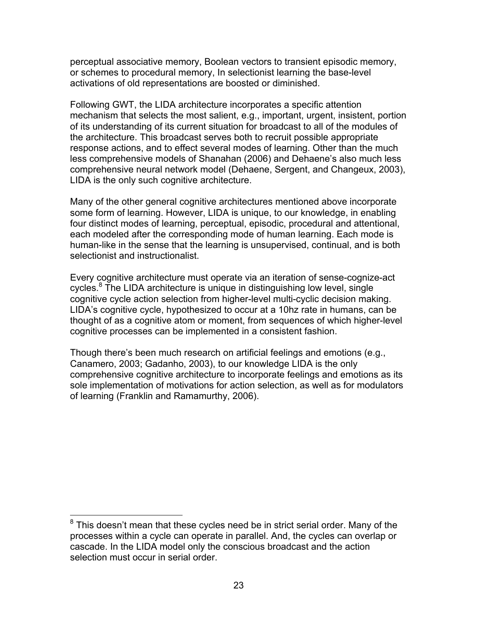perceptual associative memory, Boolean vectors to transient episodic memory, or schemes to procedural memory, In selectionist learning the base-level activations of old representations are boosted or diminished.

Following GWT, the LIDA architecture incorporates a specific attention mechanism that selects the most salient, e.g., important, urgent, insistent, portion of its understanding of its current situation for broadcast to all of the modules of the architecture. This broadcast serves both to recruit possible appropriate response actions, and to effect several modes of learning. Other than the much less comprehensive models of Shanahan (2006) and Dehaene's also much less comprehensive neural network model (Dehaene, Sergent, and Changeux, 2003), LIDA is the only such cognitive architecture.

Many of the other general cognitive architectures mentioned above incorporate some form of learning. However, LIDA is unique, to our knowledge, in enabling four distinct modes of learning, perceptual, episodic, procedural and attentional, each modeled after the corresponding mode of human learning. Each mode is human-like in the sense that the learning is unsupervised, continual, and is both selectionist and instructionalist.

Every cognitive architecture must operate via an iteration of sense-cognize-act cycles. $8$  The LIDA architecture is unique in distinguishing low level, single cognitive cycle action selection from higher-level multi-cyclic decision making. LIDA's cognitive cycle, hypothesized to occur at a 10hz rate in humans, can be thought of as a cognitive atom or moment, from sequences of which higher-level cognitive processes can be implemented in a consistent fashion.

Though there's been much research on artificial feelings and emotions (e.g., Canamero, 2003; Gadanho, 2003), to our knowledge LIDA is the only comprehensive cognitive architecture to incorporate feelings and emotions as its sole implementation of motivations for action selection, as well as for modulators of learning (Franklin and Ramamurthy, 2006).

 $8$  This doesn't mean that these cycles need be in strict serial order. Many of the processes within a cycle can operate in parallel. And, the cycles can overlap or cascade. In the LIDA model only the conscious broadcast and the action selection must occur in serial order.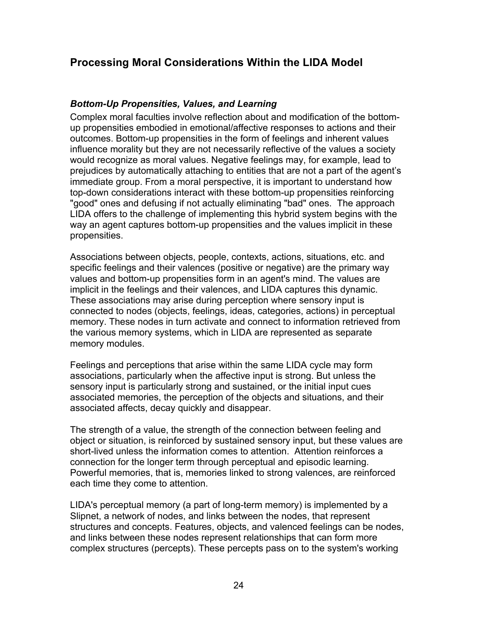# **Processing Moral Considerations Within the LIDA Model**

#### *Bottom-Up Propensities, Values, and Learning*

Complex moral faculties involve reflection about and modification of the bottomup propensities embodied in emotional/affective responses to actions and their outcomes. Bottom-up propensities in the form of feelings and inherent values influence morality but they are not necessarily reflective of the values a society would recognize as moral values. Negative feelings may, for example, lead to prejudices by automatically attaching to entities that are not a part of the agent's immediate group. From a moral perspective, it is important to understand how top-down considerations interact with these bottom-up propensities reinforcing "good" ones and defusing if not actually eliminating "bad" ones. The approach LIDA offers to the challenge of implementing this hybrid system begins with the way an agent captures bottom-up propensities and the values implicit in these propensities.

Associations between objects, people, contexts, actions, situations, etc. and specific feelings and their valences (positive or negative) are the primary way values and bottom-up propensities form in an agent's mind. The values are implicit in the feelings and their valences, and LIDA captures this dynamic. These associations may arise during perception where sensory input is connected to nodes (objects, feelings, ideas, categories, actions) in perceptual memory. These nodes in turn activate and connect to information retrieved from the various memory systems, which in LIDA are represented as separate memory modules.

Feelings and perceptions that arise within the same LIDA cycle may form associations, particularly when the affective input is strong. But unless the sensory input is particularly strong and sustained, or the initial input cues associated memories, the perception of the objects and situations, and their associated affects, decay quickly and disappear.

The strength of a value, the strength of the connection between feeling and object or situation, is reinforced by sustained sensory input, but these values are short-lived unless the information comes to attention. Attention reinforces a connection for the longer term through perceptual and episodic learning. Powerful memories, that is, memories linked to strong valences, are reinforced each time they come to attention.

LIDA's perceptual memory (a part of long-term memory) is implemented by a Slipnet, a network of nodes, and links between the nodes, that represent structures and concepts. Features, objects, and valenced feelings can be nodes, and links between these nodes represent relationships that can form more complex structures (percepts). These percepts pass on to the system's working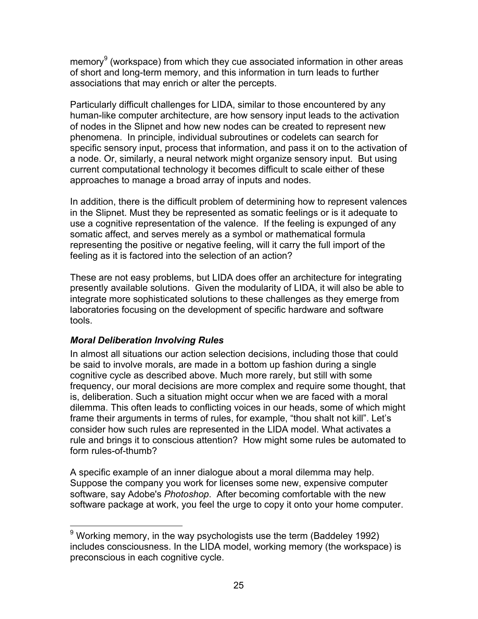memory $9$  (workspace) from which they cue associated information in other areas of short and long-term memory, and this information in turn leads to further associations that may enrich or alter the percepts.

Particularly difficult challenges for LIDA, similar to those encountered by any human-like computer architecture, are how sensory input leads to the activation of nodes in the Slipnet and how new nodes can be created to represent new phenomena. In principle, individual subroutines or codelets can search for specific sensory input, process that information, and pass it on to the activation of a node. Or, similarly, a neural network might organize sensory input. But using current computational technology it becomes difficult to scale either of these approaches to manage a broad array of inputs and nodes.

In addition, there is the difficult problem of determining how to represent valences in the Slipnet. Must they be represented as somatic feelings or is it adequate to use a cognitive representation of the valence. If the feeling is expunged of any somatic affect, and serves merely as a symbol or mathematical formula representing the positive or negative feeling, will it carry the full import of the feeling as it is factored into the selection of an action?

These are not easy problems, but LIDA does offer an architecture for integrating presently available solutions. Given the modularity of LIDA, it will also be able to integrate more sophisticated solutions to these challenges as they emerge from laboratories focusing on the development of specific hardware and software tools.

## *Moral Deliberation Involving Rules*

In almost all situations our action selection decisions, including those that could be said to involve morals, are made in a bottom up fashion during a single cognitive cycle as described above. Much more rarely, but still with some frequency, our moral decisions are more complex and require some thought, that is, deliberation. Such a situation might occur when we are faced with a moral dilemma. This often leads to conflicting voices in our heads, some of which might frame their arguments in terms of rules, for example, "thou shalt not kill". Let's consider how such rules are represented in the LIDA model. What activates a rule and brings it to conscious attention? How might some rules be automated to form rules-of-thumb?

A specific example of an inner dialogue about a moral dilemma may help. Suppose the company you work for licenses some new, expensive computer software, say Adobe's *Photoshop*. After becoming comfortable with the new software package at work, you feel the urge to copy it onto your home computer.

 $9$  Working memory, in the way psychologists use the term (Baddeley 1992) includes consciousness. In the LIDA model, working memory (the workspace) is preconscious in each cognitive cycle.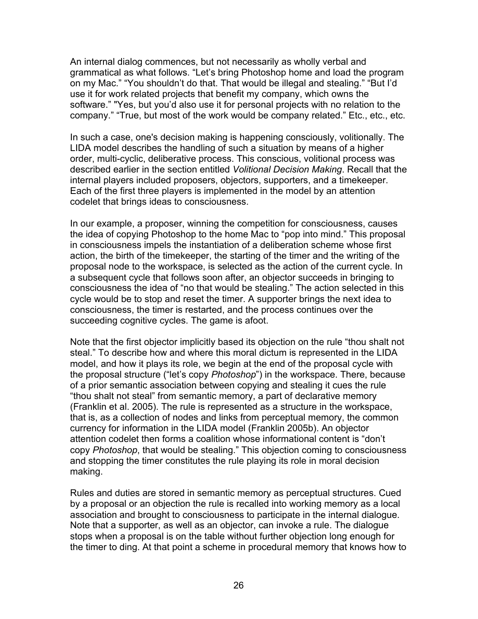An internal dialog commences, but not necessarily as wholly verbal and grammatical as what follows. "Let's bring Photoshop home and load the program on my Mac." "You shouldn't do that. That would be illegal and stealing." "But I'd use it for work related projects that benefit my company, which owns the software." "Yes, but you'd also use it for personal projects with no relation to the company." "True, but most of the work would be company related." Etc., etc., etc.

In such a case, one's decision making is happening consciously, volitionally. The LIDA model describes the handling of such a situation by means of a higher order, multi-cyclic, deliberative process. This conscious, volitional process was described earlier in the section entitled *Volitional Decision Making*. Recall that the internal players included proposers, objectors, supporters, and a timekeeper. Each of the first three players is implemented in the model by an attention codelet that brings ideas to consciousness.

In our example, a proposer, winning the competition for consciousness, causes the idea of copying Photoshop to the home Mac to "pop into mind." This proposal in consciousness impels the instantiation of a deliberation scheme whose first action, the birth of the timekeeper, the starting of the timer and the writing of the proposal node to the workspace, is selected as the action of the current cycle. In a subsequent cycle that follows soon after, an objector succeeds in bringing to consciousness the idea of "no that would be stealing." The action selected in this cycle would be to stop and reset the timer. A supporter brings the next idea to consciousness, the timer is restarted, and the process continues over the succeeding cognitive cycles. The game is afoot.

Note that the first objector implicitly based its objection on the rule "thou shalt not steal." To describe how and where this moral dictum is represented in the LIDA model, and how it plays its role, we begin at the end of the proposal cycle with the proposal structure ("let's copy *Photoshop*") in the workspace. There, because of a prior semantic association between copying and stealing it cues the rule "thou shalt not steal" from semantic memory, a part of declarative memory (Franklin et al. 2005). The rule is represented as a structure in the workspace, that is, as a collection of nodes and links from perceptual memory, the common currency for information in the LIDA model (Franklin 2005b). An objector attention codelet then forms a coalition whose informational content is "don't copy *Photoshop*, that would be stealing." This objection coming to consciousness and stopping the timer constitutes the rule playing its role in moral decision making.

Rules and duties are stored in semantic memory as perceptual structures. Cued by a proposal or an objection the rule is recalled into working memory as a local association and brought to consciousness to participate in the internal dialogue. Note that a supporter, as well as an objector, can invoke a rule. The dialogue stops when a proposal is on the table without further objection long enough for the timer to ding. At that point a scheme in procedural memory that knows how to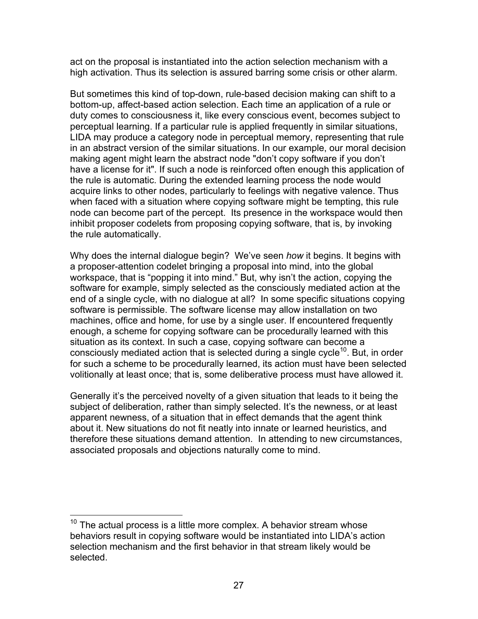act on the proposal is instantiated into the action selection mechanism with a high activation. Thus its selection is assured barring some crisis or other alarm.

But sometimes this kind of top-down, rule-based decision making can shift to a bottom-up, affect-based action selection. Each time an application of a rule or duty comes to consciousness it, like every conscious event, becomes subject to perceptual learning. If a particular rule is applied frequently in similar situations, LIDA may produce a category node in perceptual memory, representing that rule in an abstract version of the similar situations. In our example, our moral decision making agent might learn the abstract node "don't copy software if you don't have a license for it". If such a node is reinforced often enough this application of the rule is automatic. During the extended learning process the node would acquire links to other nodes, particularly to feelings with negative valence. Thus when faced with a situation where copying software might be tempting, this rule node can become part of the percept. Its presence in the workspace would then inhibit proposer codelets from proposing copying software, that is, by invoking the rule automatically.

Why does the internal dialogue begin? We've seen *how* it begins. It begins with a proposer-attention codelet bringing a proposal into mind, into the global workspace, that is "popping it into mind." But, why isn't the action, copying the software for example, simply selected as the consciously mediated action at the end of a single cycle, with no dialogue at all? In some specific situations copying software is permissible. The software license may allow installation on two machines, office and home, for use by a single user. If encountered frequently enough, a scheme for copying software can be procedurally learned with this situation as its context. In such a case, copying software can become a consciously mediated action that is selected during a single cycle<sup>10</sup>. But, in order for such a scheme to be procedurally learned, its action must have been selected volitionally at least once; that is, some deliberative process must have allowed it.

Generally it's the perceived novelty of a given situation that leads to it being the subject of deliberation, rather than simply selected. It's the newness, or at least apparent newness, of a situation that in effect demands that the agent think about it. New situations do not fit neatly into innate or learned heuristics, and therefore these situations demand attention. In attending to new circumstances, associated proposals and objections naturally come to mind.

 $10$  The actual process is a little more complex. A behavior stream whose behaviors result in copying software would be instantiated into LIDA's action selection mechanism and the first behavior in that stream likely would be selected.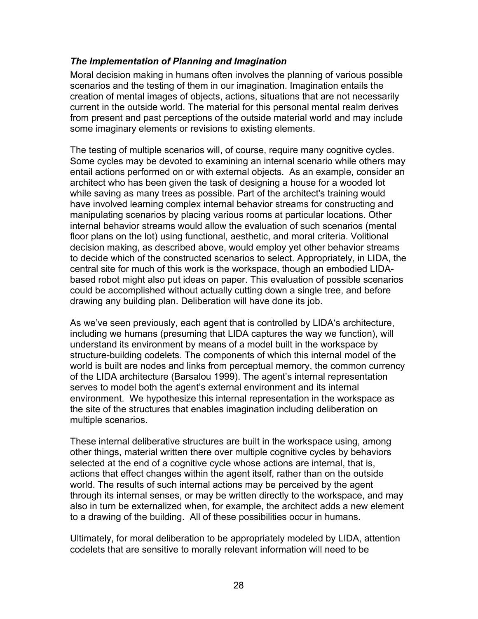### *The Implementation of Planning and Imagination*

Moral decision making in humans often involves the planning of various possible scenarios and the testing of them in our imagination. Imagination entails the creation of mental images of objects, actions, situations that are not necessarily current in the outside world. The material for this personal mental realm derives from present and past perceptions of the outside material world and may include some imaginary elements or revisions to existing elements.

The testing of multiple scenarios will, of course, require many cognitive cycles. Some cycles may be devoted to examining an internal scenario while others may entail actions performed on or with external objects. As an example, consider an architect who has been given the task of designing a house for a wooded lot while saving as many trees as possible. Part of the architect's training would have involved learning complex internal behavior streams for constructing and manipulating scenarios by placing various rooms at particular locations. Other internal behavior streams would allow the evaluation of such scenarios (mental floor plans on the lot) using functional, aesthetic, and moral criteria. Volitional decision making, as described above, would employ yet other behavior streams to decide which of the constructed scenarios to select. Appropriately, in LIDA, the central site for much of this work is the workspace, though an embodied LIDAbased robot might also put ideas on paper. This evaluation of possible scenarios could be accomplished without actually cutting down a single tree, and before drawing any building plan. Deliberation will have done its job.

As we've seen previously, each agent that is controlled by LIDA's architecture, including we humans (presuming that LIDA captures the way we function), will understand its environment by means of a model built in the workspace by structure-building codelets. The components of which this internal model of the world is built are nodes and links from perceptual memory, the common currency of the LIDA architecture (Barsalou 1999). The agent's internal representation serves to model both the agent's external environment and its internal environment. We hypothesize this internal representation in the workspace as the site of the structures that enables imagination including deliberation on multiple scenarios.

These internal deliberative structures are built in the workspace using, among other things, material written there over multiple cognitive cycles by behaviors selected at the end of a cognitive cycle whose actions are internal, that is, actions that effect changes within the agent itself, rather than on the outside world. The results of such internal actions may be perceived by the agent through its internal senses, or may be written directly to the workspace, and may also in turn be externalized when, for example, the architect adds a new element to a drawing of the building. All of these possibilities occur in humans.

Ultimately, for moral deliberation to be appropriately modeled by LIDA, attention codelets that are sensitive to morally relevant information will need to be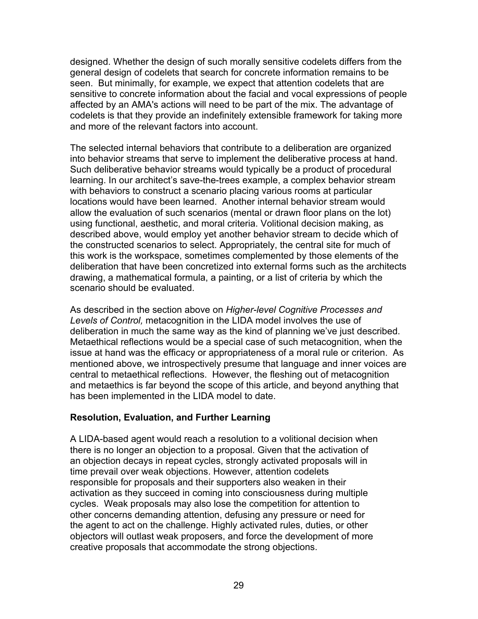designed. Whether the design of such morally sensitive codelets differs from the general design of codelets that search for concrete information remains to be seen. But minimally, for example, we expect that attention codelets that are sensitive to concrete information about the facial and vocal expressions of people affected by an AMA's actions will need to be part of the mix. The advantage of codelets is that they provide an indefinitely extensible framework for taking more and more of the relevant factors into account.

The selected internal behaviors that contribute to a deliberation are organized into behavior streams that serve to implement the deliberative process at hand. Such deliberative behavior streams would typically be a product of procedural learning. In our architect's save-the-trees example, a complex behavior stream with behaviors to construct a scenario placing various rooms at particular locations would have been learned. Another internal behavior stream would allow the evaluation of such scenarios (mental or drawn floor plans on the lot) using functional, aesthetic, and moral criteria. Volitional decision making, as described above, would employ yet another behavior stream to decide which of the constructed scenarios to select. Appropriately, the central site for much of this work is the workspace, sometimes complemented by those elements of the deliberation that have been concretized into external forms such as the architects drawing, a mathematical formula, a painting, or a list of criteria by which the scenario should be evaluated.

As described in the section above on *Higher-level Cognitive Processes and Levels of Control,* metacognition in the LIDA model involves the use of deliberation in much the same way as the kind of planning we've just described. Metaethical reflections would be a special case of such metacognition, when the issue at hand was the efficacy or appropriateness of a moral rule or criterion. As mentioned above, we introspectively presume that language and inner voices are central to metaethical reflections. However, the fleshing out of metacognition and metaethics is far beyond the scope of this article, and beyond anything that has been implemented in the LIDA model to date.

#### **Resolution, Evaluation, and Further Learning**

A LIDA-based agent would reach a resolution to a volitional decision when there is no longer an objection to a proposal. Given that the activation of an objection decays in repeat cycles, strongly activated proposals will in time prevail over weak objections. However, attention codelets responsible for proposals and their supporters also weaken in their activation as they succeed in coming into consciousness during multiple cycles. Weak proposals may also lose the competition for attention to other concerns demanding attention, defusing any pressure or need for the agent to act on the challenge. Highly activated rules, duties, or other objectors will outlast weak proposers, and force the development of more creative proposals that accommodate the strong objections.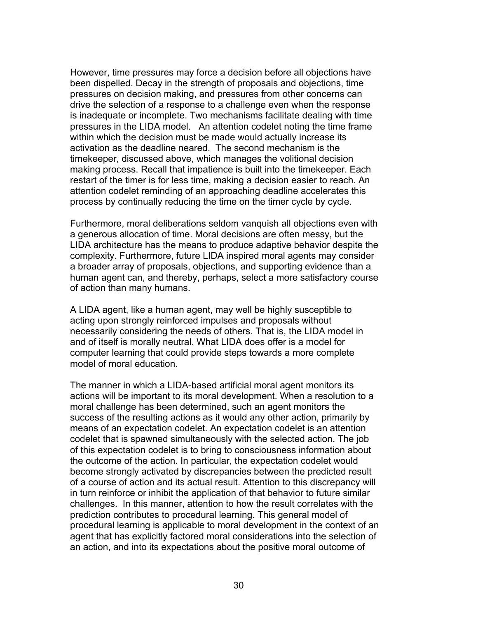However, time pressures may force a decision before all objections have been dispelled. Decay in the strength of proposals and objections, time pressures on decision making, and pressures from other concerns can drive the selection of a response to a challenge even when the response is inadequate or incomplete. Two mechanisms facilitate dealing with time pressures in the LIDA model. An attention codelet noting the time frame within which the decision must be made would actually increase its activation as the deadline neared. The second mechanism is the timekeeper, discussed above, which manages the volitional decision making process. Recall that impatience is built into the timekeeper. Each restart of the timer is for less time, making a decision easier to reach. An attention codelet reminding of an approaching deadline accelerates this process by continually reducing the time on the timer cycle by cycle.

Furthermore, moral deliberations seldom vanquish all objections even with a generous allocation of time. Moral decisions are often messy, but the LIDA architecture has the means to produce adaptive behavior despite the complexity. Furthermore, future LIDA inspired moral agents may consider a broader array of proposals, objections, and supporting evidence than a human agent can, and thereby, perhaps, select a more satisfactory course of action than many humans.

A LIDA agent, like a human agent, may well be highly susceptible to acting upon strongly reinforced impulses and proposals without necessarily considering the needs of others. That is, the LIDA model in and of itself is morally neutral. What LIDA does offer is a model for computer learning that could provide steps towards a more complete model of moral education.

The manner in which a LIDA-based artificial moral agent monitors its actions will be important to its moral development. When a resolution to a moral challenge has been determined, such an agent monitors the success of the resulting actions as it would any other action, primarily by means of an expectation codelet. An expectation codelet is an attention codelet that is spawned simultaneously with the selected action. The job of this expectation codelet is to bring to consciousness information about the outcome of the action. In particular, the expectation codelet would become strongly activated by discrepancies between the predicted result of a course of action and its actual result. Attention to this discrepancy will in turn reinforce or inhibit the application of that behavior to future similar challenges. In this manner, attention to how the result correlates with the prediction contributes to procedural learning. This general model of procedural learning is applicable to moral development in the context of an agent that has explicitly factored moral considerations into the selection of an action, and into its expectations about the positive moral outcome of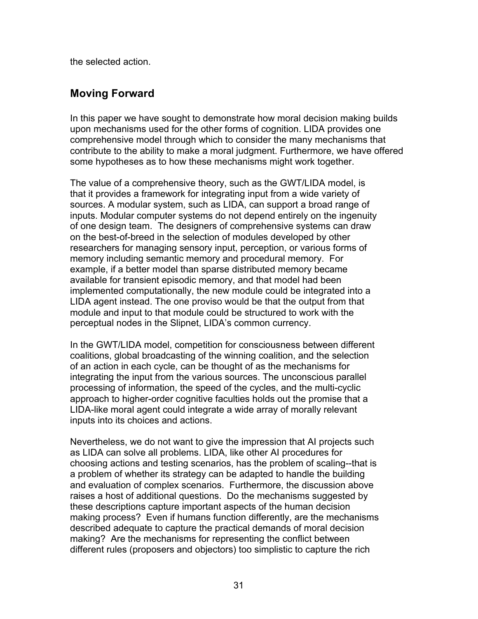the selected action.

# **Moving Forward**

In this paper we have sought to demonstrate how moral decision making builds upon mechanisms used for the other forms of cognition. LIDA provides one comprehensive model through which to consider the many mechanisms that contribute to the ability to make a moral judgment. Furthermore, we have offered some hypotheses as to how these mechanisms might work together.

The value of a comprehensive theory, such as the GWT/LIDA model, is that it provides a framework for integrating input from a wide variety of sources. A modular system, such as LIDA, can support a broad range of inputs. Modular computer systems do not depend entirely on the ingenuity of one design team. The designers of comprehensive systems can draw on the best-of-breed in the selection of modules developed by other researchers for managing sensory input, perception, or various forms of memory including semantic memory and procedural memory. For example, if a better model than sparse distributed memory became available for transient episodic memory, and that model had been implemented computationally, the new module could be integrated into a LIDA agent instead. The one proviso would be that the output from that module and input to that module could be structured to work with the perceptual nodes in the Slipnet, LIDA's common currency.

In the GWT/LIDA model, competition for consciousness between different coalitions, global broadcasting of the winning coalition, and the selection of an action in each cycle, can be thought of as the mechanisms for integrating the input from the various sources. The unconscious parallel processing of information, the speed of the cycles, and the multi-cyclic approach to higher-order cognitive faculties holds out the promise that a LIDA-like moral agent could integrate a wide array of morally relevant inputs into its choices and actions.

Nevertheless, we do not want to give the impression that AI projects such as LIDA can solve all problems. LIDA, like other AI procedures for choosing actions and testing scenarios, has the problem of scaling--that is a problem of whether its strategy can be adapted to handle the building and evaluation of complex scenarios. Furthermore, the discussion above raises a host of additional questions. Do the mechanisms suggested by these descriptions capture important aspects of the human decision making process? Even if humans function differently, are the mechanisms described adequate to capture the practical demands of moral decision making? Are the mechanisms for representing the conflict between different rules (proposers and objectors) too simplistic to capture the rich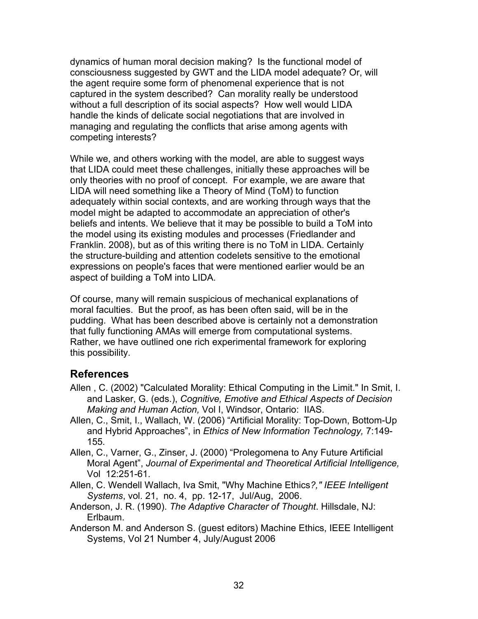dynamics of human moral decision making? Is the functional model of consciousness suggested by GWT and the LIDA model adequate? Or, will the agent require some form of phenomenal experience that is not captured in the system described? Can morality really be understood without a full description of its social aspects? How well would LIDA handle the kinds of delicate social negotiations that are involved in managing and regulating the conflicts that arise among agents with competing interests?

While we, and others working with the model, are able to suggest ways that LIDA could meet these challenges, initially these approaches will be only theories with no proof of concept. For example, we are aware that LIDA will need something like a Theory of Mind (ToM) to function adequately within social contexts, and are working through ways that the model might be adapted to accommodate an appreciation of other's beliefs and intents. We believe that it may be possible to build a ToM into the model using its existing modules and processes (Friedlander and Franklin. 2008), but as of this writing there is no ToM in LIDA. Certainly the structure-building and attention codelets sensitive to the emotional expressions on people's faces that were mentioned earlier would be an aspect of building a ToM into LIDA.

Of course, many will remain suspicious of mechanical explanations of moral faculties. But the proof, as has been often said, will be in the pudding. What has been described above is certainly not a demonstration that fully functioning AMAs will emerge from computational systems. Rather, we have outlined one rich experimental framework for exploring this possibility.

# **References**

- Allen , C. (2002) "Calculated Morality: Ethical Computing in the Limit." In Smit, I. and Lasker, G. (eds.), *Cognitive, Emotive and Ethical Aspects of Decision Making and Human Action,* Vol I, Windsor, Ontario: IIAS.
- Allen, C., Smit, I., Wallach, W. (2006) "Artificial Morality: Top-Down, Bottom-Up and Hybrid Approaches", in *Ethics of New Information Technology,* 7:149- 155*.*
- Allen, C., Varner, G., Zinser, J. (2000) "Prolegomena to Any Future Artificial Moral Agent", *Journal of Experimental and Theoretical Artificial Intelligence,*  Vol 12:251-61.
- Allen, C. Wendell Wallach, Iva Smit, "Why Machine Ethics*?," IEEE Intelligent Systems*, vol. 21, no. 4, pp. 12-17, Jul/Aug, 2006.
- Anderson, J. R. (1990). *The Adaptive Character of Thought*. Hillsdale, NJ: Erlbaum.
- Anderson M. and Anderson S. (guest editors) Machine Ethics, IEEE Intelligent Systems, Vol 21 Number 4, July/August 2006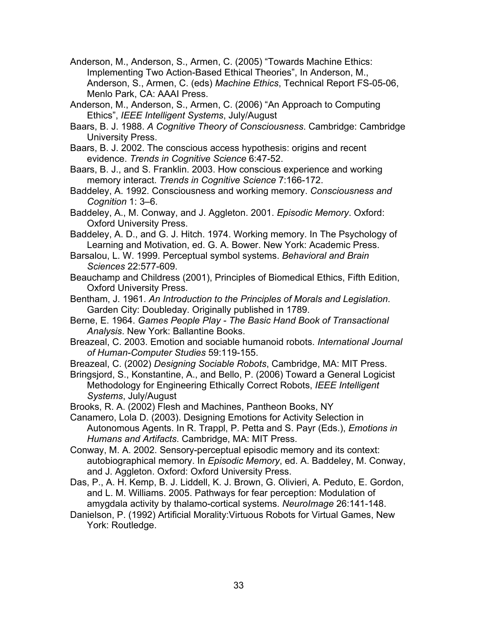- Anderson, M., Anderson, S., Armen, C. (2005) "Towards Machine Ethics: Implementing Two Action-Based Ethical Theories", In Anderson, M., Anderson, S., Armen, C. (eds) *Machine Ethics*, Technical Report FS-05-06, Menlo Park, CA: AAAI Press.
- Anderson, M., Anderson, S., Armen, C. (2006) "An Approach to Computing Ethics", *IEEE Intelligent Systems*, July/August
- Baars, B. J. 1988. *A Cognitive Theory of Consciousness*. Cambridge: Cambridge University Press.
- Baars, B. J. 2002. The conscious access hypothesis: origins and recent evidence. *Trends in Cognitive Science* 6:47-52.
- Baars, B. J., and S. Franklin. 2003. How conscious experience and working memory interact. *Trends in Cognitive Science* 7:166-172.
- Baddeley, A. 1992. Consciousness and working memory. *Consciousness and Cognition* 1: 3–6.
- Baddeley, A., M. Conway, and J. Aggleton. 2001. *Episodic Memory*. Oxford: Oxford University Press.
- Baddeley, A. D., and G. J. Hitch. 1974. Working memory. In The Psychology of Learning and Motivation, ed. G. A. Bower. New York: Academic Press.
- Barsalou, L. W. 1999. Perceptual symbol systems. *Behavioral and Brain Sciences* 22:577-609.
- Beauchamp and Childress (2001), Principles of Biomedical Ethics, Fifth Edition, Oxford University Press.
- Bentham, J. 1961. *An Introduction to the Principles of Morals and Legislation*. Garden City: Doubleday. Originally published in 1789.
- Berne, E. 1964. *Games People Play - The Basic Hand Book of Transactional Analysis*. New York: Ballantine Books.
- Breazeal, C. 2003. Emotion and sociable humanoid robots. *International Journal of Human-Computer Studies* 59:119-155.
- Breazeal, C. (2002) *Designing Sociable Robots*, Cambridge, MA: MIT Press.
- Bringsjord, S., Konstantine, A., and Bello, P. (2006) Toward a General Logicist Methodology for Engineering Ethically Correct Robots, *IEEE Intelligent Systems*, July/August

Brooks, R. A. (2002) Flesh and Machines, Pantheon Books, NY

- Canamero, Lola D. (2003). Designing Emotions for Activity Selection in Autonomous Agents. In R. Trappl, P. Petta and S. Payr (Eds.), *Emotions in Humans and Artifacts*. Cambridge, MA: MIT Press.
- Conway, M. A. 2002. Sensory-perceptual episodic memory and its context: autobiographical memory. In *Episodic Memory*, ed. A. Baddeley, M. Conway, and J. Aggleton. Oxford: Oxford University Press.
- Das, P., A. H. Kemp, B. J. Liddell, K. J. Brown, G. Olivieri, A. Peduto, E. Gordon, and L. M. Williams. 2005. Pathways for fear perception: Modulation of amygdala activity by thalamo-cortical systems. *NeuroImage* 26:141-148.
- Danielson, P. (1992) Artificial Morality:Virtuous Robots for Virtual Games, New York: Routledge.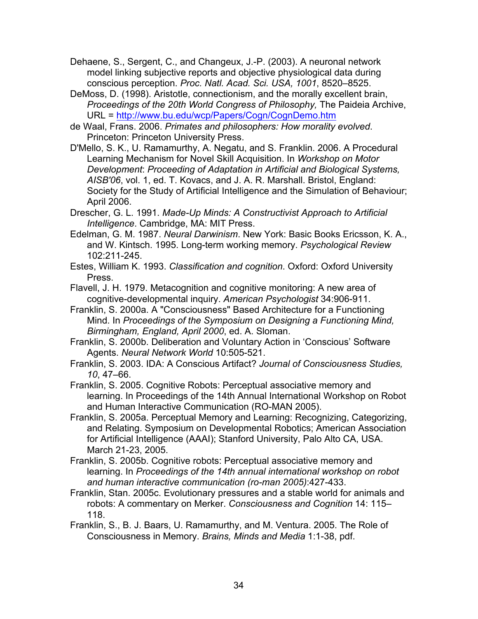Dehaene, S., Sergent, C., and Changeux, J.-P. (2003). A neuronal network model linking subjective reports and objective physiological data during conscious perception. *Proc. Natl. Acad. Sci. USA, 1001*, 8520–8525.

DeMoss, D. (1998). Aristotle, connectionism, and the morally excellent brain, *Proceedings of the 20th World Congress of Philosophy,* The Paideia Archive, URL = http://www.bu.edu/wcp/Papers/Cogn/CognDemo.htm

de Waal, Frans. 2006. *Primates and philosophers: How morality evolved*. Princeton: Princeton University Press.

D'Mello, S. K., U. Ramamurthy, A. Negatu, and S. Franklin. 2006. A Procedural Learning Mechanism for Novel Skill Acquisition. In *Workshop on Motor Development*: *Proceeding of Adaptation in Artificial and Biological Systems, AISB'06*, vol. 1, ed. T. Kovacs, and J. A. R. Marshall. Bristol, England: Society for the Study of Artificial Intelligence and the Simulation of Behaviour; April 2006.

Drescher, G. L. 1991. *Made-Up Minds: A Constructivist Approach to Artificial Intelligence*. Cambridge, MA: MIT Press.

Edelman, G. M. 1987. *Neural Darwinism*. New York: Basic Books Ericsson, K. A., and W. Kintsch. 1995. Long-term working memory. *Psychological Review* 102:211-245.

Estes, William K. 1993. *Classification and cognition*. Oxford: Oxford University Press.

Flavell, J. H. 1979. Metacognition and cognitive monitoring: A new area of cognitive-developmental inquiry. *American Psychologist* 34:906-911.

Franklin, S. 2000a. A "Consciousness" Based Architecture for a Functioning Mind. In *Proceedings of the Symposium on Designing a Functioning Mind, Birmingham, England, April 2000*, ed. A. Sloman.

Franklin, S. 2000b. Deliberation and Voluntary Action in 'Conscious' Software Agents. *Neural Network World* 10:505-521.

Franklin, S. 2003. IDA: A Conscious Artifact? *Journal of Consciousness Studies, 10*, 47–66.

Franklin, S. 2005. Cognitive Robots: Perceptual associative memory and learning. In Proceedings of the 14th Annual International Workshop on Robot and Human Interactive Communication (RO-MAN 2005).

Franklin, S. 2005a. Perceptual Memory and Learning: Recognizing, Categorizing, and Relating. Symposium on Developmental Robotics; American Association for Artificial Intelligence (AAAI); Stanford University, Palo Alto CA, USA. March 21-23, 2005.

Franklin, S. 2005b. Cognitive robots: Perceptual associative memory and learning. In *Proceedings of the 14th annual international workshop on robot and human interactive communication (ro-man 2005)*:427-433.

Franklin, Stan. 2005c. Evolutionary pressures and a stable world for animals and robots: A commentary on Merker. *Consciousness and Cognition* 14: 115– 118.

Franklin, S., B. J. Baars, U. Ramamurthy, and M. Ventura. 2005. The Role of Consciousness in Memory. *Brains, Minds and Media* 1:1-38, pdf.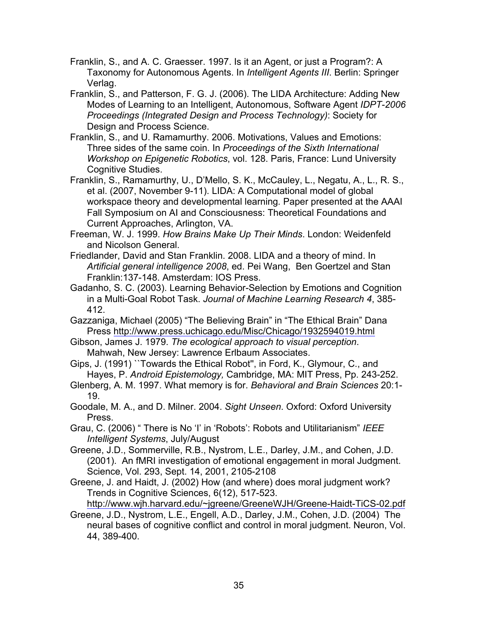- Franklin, S., and A. C. Graesser. 1997. Is it an Agent, or just a Program?: A Taxonomy for Autonomous Agents. In *Intelligent Agents III*. Berlin: Springer Verlag.
- Franklin, S., and Patterson, F. G. J. (2006). The LIDA Architecture: Adding New Modes of Learning to an Intelligent, Autonomous, Software Agent *IDPT-2006 Proceedings (Integrated Design and Process Technology)*: Society for Design and Process Science.
- Franklin, S., and U. Ramamurthy. 2006. Motivations, Values and Emotions: Three sides of the same coin. In *Proceedings of the Sixth International Workshop on Epigenetic Robotics*, vol. 128. Paris, France: Lund University Cognitive Studies.
- Franklin, S., Ramamurthy, U., D'Mello, S. K., McCauley, L., Negatu, A., L., R. S., et al. (2007, November 9-11). LIDA: A Computational model of global workspace theory and developmental learning*.* Paper presented at the AAAI Fall Symposium on AI and Consciousness: Theoretical Foundations and Current Approaches, Arlington, VA.
- Freeman, W. J. 1999. *How Brains Make Up Their Minds*. London: Weidenfeld and Nicolson General.
- Friedlander, David and Stan Franklin. 2008. LIDA and a theory of mind. In *Artificial general intelligence 2008*, ed. Pei Wang, Ben Goertzel and Stan Franklin:137-148. Amsterdam: IOS Press.
- Gadanho, S. C. (2003). Learning Behavior-Selection by Emotions and Cognition in a Multi-Goal Robot Task. *Journal of Machine Learning Research 4*, 385- 412.
- Gazzaniga, Michael (2005) "The Believing Brain" in "The Ethical Brain" Dana Press http://www.press.uchicago.edu/Misc/Chicago/1932594019.html
- Gibson, James J. 1979. *The ecological approach to visual perception*. Mahwah, New Jersey: Lawrence Erlbaum Associates.
- Gips, J. (1991) ``Towards the Ethical Robot'', in Ford, K., Glymour, C., and Hayes, P. *Android Epistemology,* Cambridge, MA: MIT Press, Pp. 243-252.
- Glenberg, A. M. 1997. What memory is for. *Behavioral and Brain Sciences* 20:1- 19.
- Goodale, M. A., and D. Milner. 2004. *Sight Unseen*. Oxford: Oxford University Press.
- Grau, C. (2006) " There is No 'I' in 'Robots': Robots and Utilitarianism" *IEEE Intelligent Systems*, July/August
- Greene, J.D., Sommerville, R.B., Nystrom, L.E., Darley, J.M., and Cohen, J.D. (2001). An fMRI investigation of emotional engagement in moral Judgment. Science, Vol. 293, Sept. 14, 2001, 2105-2108
- Greene, J. and Haidt, J. (2002) How (and where) does moral judgment work? Trends in Cognitive Sciences, 6(12), 517-523.

http://www.wjh.harvard.edu/~jgreene/GreeneWJH/Greene-Haidt-TiCS-02.pdf

Greene, J.D., Nystrom, L.E., Engell, A.D., Darley, J.M., Cohen, J.D. (2004) The neural bases of cognitive conflict and control in moral judgment. Neuron, Vol. 44, 389-400.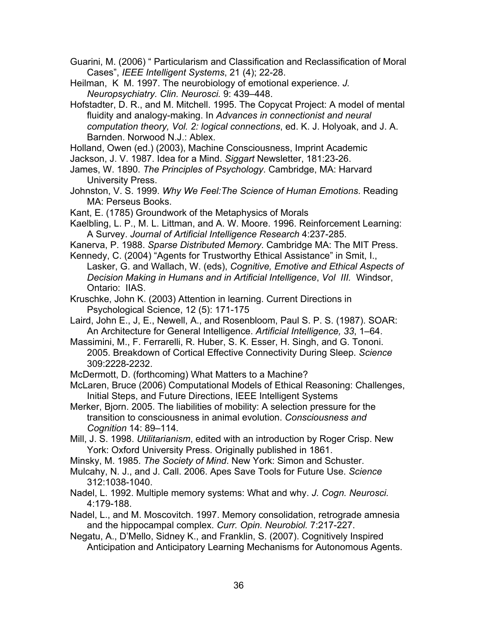Guarini, M. (2006) " Particularism and Classification and Reclassification of Moral Cases", *IEEE Intelligent Systems*, 21 (4); 22-28.

Heilman, K M. 1997. The neurobiology of emotional experience. *J. Neuropsychiatry. Clin. Neurosci.* 9: 439–448.

Hofstadter, D. R., and M. Mitchell. 1995. The Copycat Project: A model of mental fluidity and analogy-making. In *Advances in connectionist and neural computation theory, Vol. 2: logical connections*, ed. K. J. Holyoak, and J. A. Barnden. Norwood N.J.: Ablex.

Holland, Owen (ed.) (2003), Machine Consciousness, Imprint Academic

Jackson, J. V. 1987. Idea for a Mind. *Siggart* Newsletter, 181:23-26.

- James, W. 1890. *The Principles of Psychology*. Cambridge, MA: Harvard University Press.
- Johnston, V. S. 1999. *Why We Feel:The Science of Human Emotions*. Reading MA: Perseus Books.
- Kant, E. (1785) Groundwork of the Metaphysics of Morals

Kaelbling, L. P., M. L. Littman, and A. W. Moore. 1996. Reinforcement Learning: A Survey. *Journal of Artificial Intelligence Research* 4:237-285.

Kanerva, P. 1988. *Sparse Distributed Memory*. Cambridge MA: The MIT Press.

Kennedy, C. (2004) "Agents for Trustworthy Ethical Assistance" in Smit, I., Lasker, G. and Wallach, W. (eds), *Cognitive, Emotive and Ethical Aspects of Decision Making in Humans and in Artificial Intelligence*, *Vol III.* Windsor, Ontario: IIAS.

Kruschke, John K. (2003) Attention in learning. Current Directions in Psychological Science, 12 (5): 171-175

Laird, John E., J, E., Newell, A., and Rosenbloom, Paul S. P. S. (1987). SOAR: An Architecture for General Intelligence. *Artificial Intelligence, 33*, 1–64.

Massimini, M., F. Ferrarelli, R. Huber, S. K. Esser, H. Singh, and G. Tononi. 2005. Breakdown of Cortical Effective Connectivity During Sleep. *Science* 309:2228-2232.

McDermott, D. (forthcoming) What Matters to a Machine?

McLaren, Bruce (2006) Computational Models of Ethical Reasoning: Challenges, Initial Steps, and Future Directions, IEEE Intelligent Systems

Merker, Bjorn. 2005. The liabilities of mobility: A selection pressure for the transition to consciousness in animal evolution. *Consciousness and Cognition* 14: 89–114.

Mill, J. S. 1998. *Utilitarianism*, edited with an introduction by Roger Crisp. New York: Oxford University Press. Originally published in 1861.

Minsky, M. 1985. *The Society of Mind*. New York: Simon and Schuster.

Mulcahy, N. J., and J. Call. 2006. Apes Save Tools for Future Use. *Science* 312:1038-1040.

Nadel, L. 1992. Multiple memory systems: What and why. *J. Cogn. Neurosci.* 4:179-188.

Nadel, L., and M. Moscovitch. 1997. Memory consolidation, retrograde amnesia and the hippocampal complex. *Curr. Opin. Neurobiol.* 7:217-227.

Negatu, A., D'Mello, Sidney K., and Franklin, S. (2007). Cognitively Inspired Anticipation and Anticipatory Learning Mechanisms for Autonomous Agents.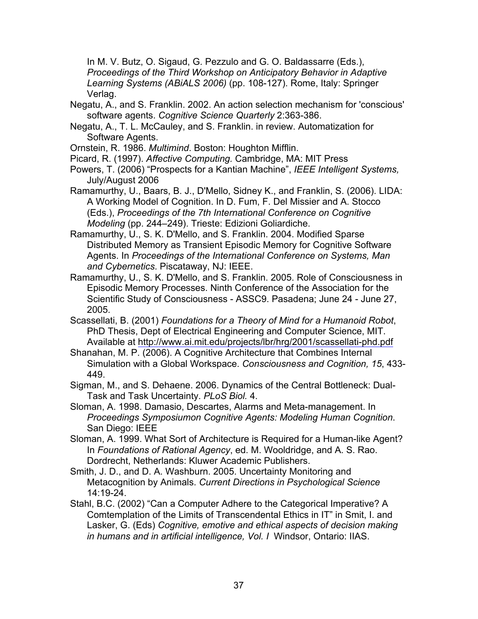In M. V. Butz, O. Sigaud, G. Pezzulo and G. O. Baldassarre (Eds.), *Proceedings of the Third Workshop on Anticipatory Behavior in Adaptive Learning Systems (ABiALS 2006)* (pp. 108-127). Rome, Italy: Springer Verlag.

- Negatu, A., and S. Franklin. 2002. An action selection mechanism for 'conscious' software agents. *Cognitive Science Quarterly* 2:363-386.
- Negatu, A., T. L. McCauley, and S. Franklin. in review. Automatization for Software Agents.
- Ornstein, R. 1986. *Multimind*. Boston: Houghton Mifflin.
- Picard, R. (1997). *Affective Computing.* Cambridge, MA: MIT Press
- Powers, T. (2006) "Prospects for a Kantian Machine", *IEEE Intelligent Systems,*  July/August 2006
- Ramamurthy, U., Baars, B. J., D'Mello, Sidney K., and Franklin, S. (2006). LIDA: A Working Model of Cognition. In D. Fum, F. Del Missier and A. Stocco (Eds.), *Proceedings of the 7th International Conference on Cognitive Modeling* (pp. 244–249). Trieste: Edizioni Goliardiche.
- Ramamurthy, U., S. K. D'Mello, and S. Franklin. 2004. Modified Sparse Distributed Memory as Transient Episodic Memory for Cognitive Software Agents. In *Proceedings of the International Conference on Systems, Man and Cybernetics*. Piscataway, NJ: IEEE.
- Ramamurthy, U., S. K. D'Mello, and S. Franklin. 2005. Role of Consciousness in Episodic Memory Processes. Ninth Conference of the Association for the Scientific Study of Consciousness - ASSC9. Pasadena; June 24 - June 27, 2005.
- Scassellati, B. (2001) *Foundations for a Theory of Mind for a Humanoid Robot*, PhD Thesis, Dept of Electrical Engineering and Computer Science, MIT. Available at http://www.ai.mit.edu/projects/lbr/hrg/2001/scassellati-phd.pdf
- Shanahan, M. P. (2006). A Cognitive Architecture that Combines Internal Simulation with a Global Workspace. *Consciousness and Cognition, 15*, 433- 449.
- Sigman, M., and S. Dehaene. 2006. Dynamics of the Central Bottleneck: Dual-Task and Task Uncertainty. *PLoS Biol.* 4.
- Sloman, A. 1998. Damasio, Descartes, Alarms and Meta-management. In *Proceedings Symposiumon Cognitive Agents: Modeling Human Cognition*. San Diego: IEEE
- Sloman, A. 1999. What Sort of Architecture is Required for a Human-like Agent? In *Foundations of Rational Agency*, ed. M. Wooldridge, and A. S. Rao. Dordrecht, Netherlands: Kluwer Academic Publishers.
- Smith, J. D., and D. A. Washburn. 2005. Uncertainty Monitoring and Metacognition by Animals. *Current Directions in Psychological Science* 14:19-24.
- Stahl, B.C. (2002) "Can a Computer Adhere to the Categorical Imperative? A Comtemplation of the Limits of Transcendental Ethics in IT" in Smit, I. and Lasker, G. (Eds) *Cognitive, emotive and ethical aspects of decision making in humans and in artificial intelligence, Vol. I* Windsor, Ontario: IIAS.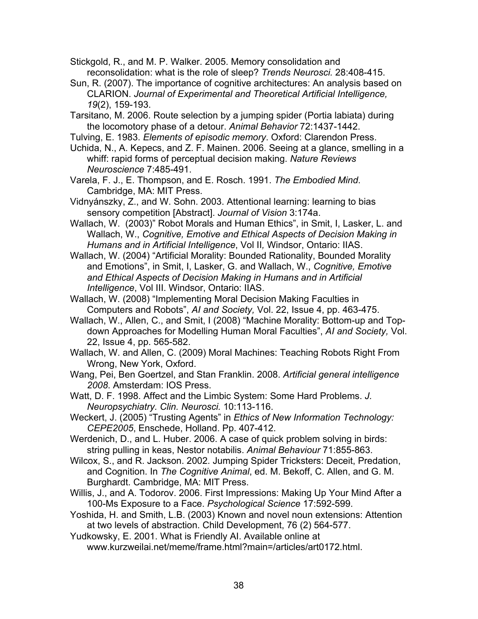Stickgold, R., and M. P. Walker. 2005. Memory consolidation and reconsolidation: what is the role of sleep? *Trends Neurosci.* 28:408-415.

Sun, R. (2007). The importance of cognitive architectures: An analysis based on CLARION. *Journal of Experimental and Theoretical Artificial Intelligence, 19*(2), 159-193.

Tarsitano, M. 2006. Route selection by a jumping spider (Portia labiata) during the locomotory phase of a detour. *Animal Behavior* 72:1437-1442.

Tulving, E. 1983. *Elements of episodic memory*. Oxford: Clarendon Press.

Uchida, N., A. Kepecs, and Z. F. Mainen. 2006. Seeing at a glance, smelling in a whiff: rapid forms of perceptual decision making. *Nature Reviews Neuroscience* 7:485-491.

Varela, F. J., E. Thompson, and E. Rosch. 1991. *The Embodied Mind*. Cambridge, MA: MIT Press.

Vidnyánszky, Z., and W. Sohn. 2003. Attentional learning: learning to bias sensory competition [Abstract]. *Journal of Vision* 3:174a.

Wallach, W. (2003)" Robot Morals and Human Ethics", in Smit, I, Lasker, L. and Wallach, W., *Cognitive, Emotive and Ethical Aspects of Decision Making in Humans and in Artificial Intelligence*, Vol II*,* Windsor, Ontario: IIAS.

Wallach, W. (2004) "Artificial Morality: Bounded Rationality, Bounded Morality and Emotions", in Smit, I, Lasker, G. and Wallach, W., *Cognitive, Emotive and Ethical Aspects of Decision Making in Humans and in Artificial Intelligence*, Vol III. Windsor, Ontario: IIAS.

Wallach, W. (2008) "Implementing Moral Decision Making Faculties in Computers and Robots", *AI and Society,* Vol. 22, Issue 4, pp. 463-475.

Wallach, W., Allen, C., and Smit, I (2008) "Machine Morality: Bottom-up and Topdown Approaches for Modelling Human Moral Faculties", *AI and Society,* Vol. 22, Issue 4, pp. 565-582.

Wallach, W. and Allen, C. (2009) Moral Machines: Teaching Robots Right From Wrong, New York, Oxford.

Wang, Pei, Ben Goertzel, and Stan Franklin. 2008. *Artificial general intelligence 2008*. Amsterdam: IOS Press.

Watt, D. F. 1998. Affect and the Limbic System: Some Hard Problems. *J. Neuropsychiatry. Clin. Neurosci.* 10:113-116.

Weckert, J. (2005) "Trusting Agents" in *Ethics of New Information Technology: CEPE2005*, Enschede, Holland. Pp. 407-412.

Werdenich, D., and L. Huber. 2006. A case of quick problem solving in birds: string pulling in keas, Nestor notabilis. *Animal Behaviour* 71:855-863.

Wilcox, S., and R. Jackson. 2002. Jumping Spider Tricksters: Deceit, Predation, and Cognition. In *The Cognitive Animal*, ed. M. Bekoff, C. Allen, and G. M. Burghardt. Cambridge, MA: MIT Press.

Willis, J., and A. Todorov. 2006. First Impressions: Making Up Your Mind After a 100-Ms Exposure to a Face. *Psychological Science* 17:592-599.

Yoshida, H. and Smith, L.B. (2003) Known and novel noun extensions: Attention at two levels of abstraction. Child Development, 76 (2) 564-577.

Yudkowsky, E. 2001. What is Friendly AI. Available online at www.kurzweilai.net/meme/frame.html?main=/articles/art0172.html.